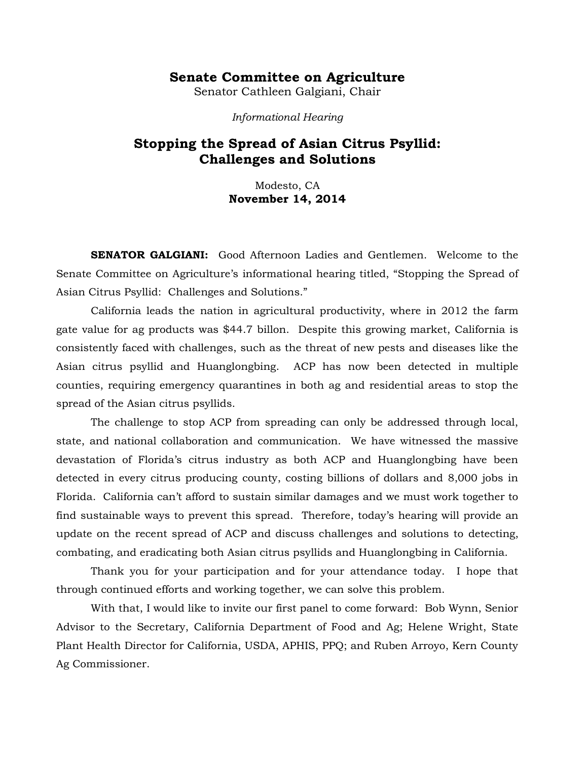## **Senate Committee on Agriculture**

Senator Cathleen Galgiani, Chair

*Informational Hearing*

## **Stopping the Spread of Asian Citrus Psyllid: Challenges and Solutions**

Modesto, CA **November 14, 2014**

**SENATOR GALGIANI:** Good Afternoon Ladies and Gentlemen. Welcome to the Senate Committee on Agriculture's informational hearing titled, "Stopping the Spread of Asian Citrus Psyllid: Challenges and Solutions."

California leads the nation in agricultural productivity, where in 2012 the farm gate value for ag products was \$44.7 billon. Despite this growing market, California is consistently faced with challenges, such as the threat of new pests and diseases like the Asian citrus psyllid and Huanglongbing. ACP has now been detected in multiple counties, requiring emergency quarantines in both ag and residential areas to stop the spread of the Asian citrus psyllids.

The challenge to stop ACP from spreading can only be addressed through local, state, and national collaboration and communication. We have witnessed the massive devastation of Florida's citrus industry as both ACP and Huanglongbing have been detected in every citrus producing county, costing billions of dollars and 8,000 jobs in Florida. California can't afford to sustain similar damages and we must work together to find sustainable ways to prevent this spread. Therefore, today's hearing will provide an update on the recent spread of ACP and discuss challenges and solutions to detecting, combating, and eradicating both Asian citrus psyllids and Huanglongbing in California.

Thank you for your participation and for your attendance today. I hope that through continued efforts and working together, we can solve this problem.

With that, I would like to invite our first panel to come forward: Bob Wynn, Senior Advisor to the Secretary, California Department of Food and Ag; Helene Wright, State Plant Health Director for California, USDA, APHIS, PPQ; and Ruben Arroyo, Kern County Ag Commissioner.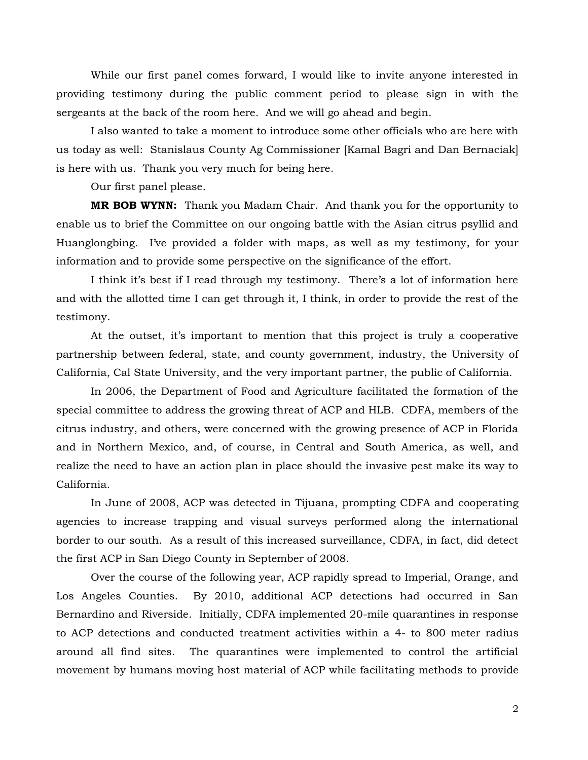While our first panel comes forward, I would like to invite anyone interested in providing testimony during the public comment period to please sign in with the sergeants at the back of the room here. And we will go ahead and begin.

I also wanted to take a moment to introduce some other officials who are here with us today as well: Stanislaus County Ag Commissioner [Kamal Bagri and Dan Bernaciak] is here with us. Thank you very much for being here.

Our first panel please.

**MR BOB WYNN:** Thank you Madam Chair. And thank you for the opportunity to enable us to brief the Committee on our ongoing battle with the Asian citrus psyllid and Huanglongbing. I've provided a folder with maps, as well as my testimony, for your information and to provide some perspective on the significance of the effort.

I think it's best if I read through my testimony. There's a lot of information here and with the allotted time I can get through it, I think, in order to provide the rest of the testimony.

At the outset, it's important to mention that this project is truly a cooperative partnership between federal, state, and county government, industry, the University of California, Cal State University, and the very important partner, the public of California.

In 2006, the Department of Food and Agriculture facilitated the formation of the special committee to address the growing threat of ACP and HLB. CDFA, members of the citrus industry, and others, were concerned with the growing presence of ACP in Florida and in Northern Mexico, and, of course, in Central and South America, as well, and realize the need to have an action plan in place should the invasive pest make its way to California.

In June of 2008, ACP was detected in Tijuana, prompting CDFA and cooperating agencies to increase trapping and visual surveys performed along the international border to our south. As a result of this increased surveillance, CDFA, in fact, did detect the first ACP in San Diego County in September of 2008.

Over the course of the following year, ACP rapidly spread to Imperial, Orange, and Los Angeles Counties. By 2010, additional ACP detections had occurred in San Bernardino and Riverside. Initially, CDFA implemented 20-mile quarantines in response to ACP detections and conducted treatment activities within a 4- to 800 meter radius around all find sites. The quarantines were implemented to control the artificial movement by humans moving host material of ACP while facilitating methods to provide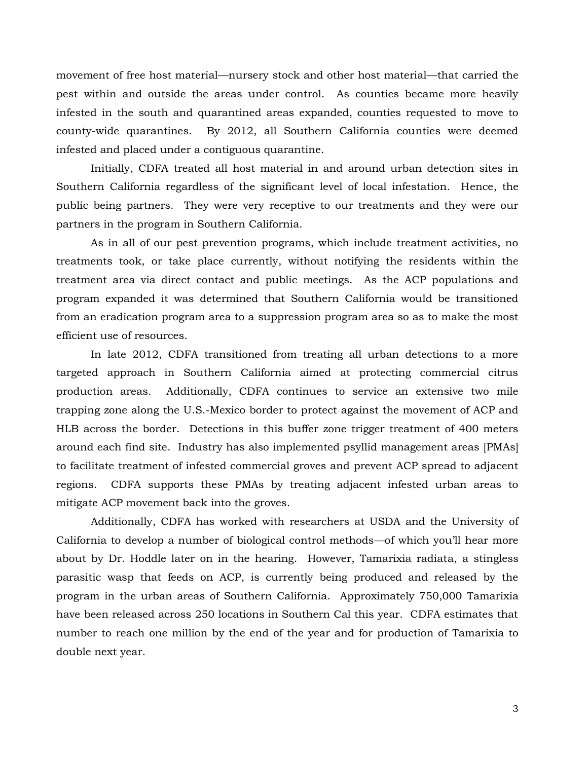movement of free host material—nursery stock and other host material—that carried the pest within and outside the areas under control. As counties became more heavily infested in the south and quarantined areas expanded, counties requested to move to county-wide quarantines. By 2012, all Southern California counties were deemed infested and placed under a contiguous quarantine.

Initially, CDFA treated all host material in and around urban detection sites in Southern California regardless of the significant level of local infestation. Hence, the public being partners. They were very receptive to our treatments and they were our partners in the program in Southern California.

As in all of our pest prevention programs, which include treatment activities, no treatments took, or take place currently, without notifying the residents within the treatment area via direct contact and public meetings. As the ACP populations and program expanded it was determined that Southern California would be transitioned from an eradication program area to a suppression program area so as to make the most efficient use of resources.

In late 2012, CDFA transitioned from treating all urban detections to a more targeted approach in Southern California aimed at protecting commercial citrus production areas. Additionally, CDFA continues to service an extensive two mile trapping zone along the U.S.-Mexico border to protect against the movement of ACP and HLB across the border. Detections in this buffer zone trigger treatment of 400 meters around each find site. Industry has also implemented psyllid management areas [PMAs] to facilitate treatment of infested commercial groves and prevent ACP spread to adjacent regions. CDFA supports these PMAs by treating adjacent infested urban areas to mitigate ACP movement back into the groves.

Additionally, CDFA has worked with researchers at USDA and the University of California to develop a number of biological control methods—of which you'll hear more about by Dr. Hoddle later on in the hearing. However, Tamarixia radiata, a stingless parasitic wasp that feeds on ACP, is currently being produced and released by the program in the urban areas of Southern California. Approximately 750,000 Tamarixia have been released across 250 locations in Southern Cal this year. CDFA estimates that number to reach one million by the end of the year and for production of Tamarixia to double next year.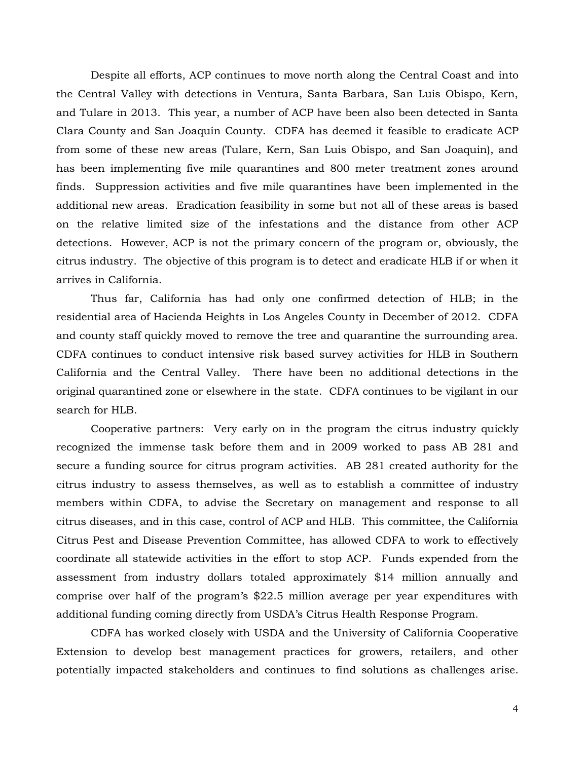Despite all efforts, ACP continues to move north along the Central Coast and into the Central Valley with detections in Ventura, Santa Barbara, San Luis Obispo, Kern, and Tulare in 2013. This year, a number of ACP have been also been detected in Santa Clara County and San Joaquin County. CDFA has deemed it feasible to eradicate ACP from some of these new areas (Tulare, Kern, San Luis Obispo, and San Joaquin), and has been implementing five mile quarantines and 800 meter treatment zones around finds. Suppression activities and five mile quarantines have been implemented in the additional new areas. Eradication feasibility in some but not all of these areas is based on the relative limited size of the infestations and the distance from other ACP detections. However, ACP is not the primary concern of the program or, obviously, the citrus industry. The objective of this program is to detect and eradicate HLB if or when it arrives in California.

Thus far, California has had only one confirmed detection of HLB; in the residential area of Hacienda Heights in Los Angeles County in December of 2012. CDFA and county staff quickly moved to remove the tree and quarantine the surrounding area. CDFA continues to conduct intensive risk based survey activities for HLB in Southern California and the Central Valley. There have been no additional detections in the original quarantined zone or elsewhere in the state. CDFA continues to be vigilant in our search for HLB.

Cooperative partners: Very early on in the program the citrus industry quickly recognized the immense task before them and in 2009 worked to pass AB 281 and secure a funding source for citrus program activities. AB 281 created authority for the citrus industry to assess themselves, as well as to establish a committee of industry members within CDFA, to advise the Secretary on management and response to all citrus diseases, and in this case, control of ACP and HLB. This committee, the California Citrus Pest and Disease Prevention Committee, has allowed CDFA to work to effectively coordinate all statewide activities in the effort to stop ACP. Funds expended from the assessment from industry dollars totaled approximately \$14 million annually and comprise over half of the program's \$22.5 million average per year expenditures with additional funding coming directly from USDA's Citrus Health Response Program.

CDFA has worked closely with USDA and the University of California Cooperative Extension to develop best management practices for growers, retailers, and other potentially impacted stakeholders and continues to find solutions as challenges arise.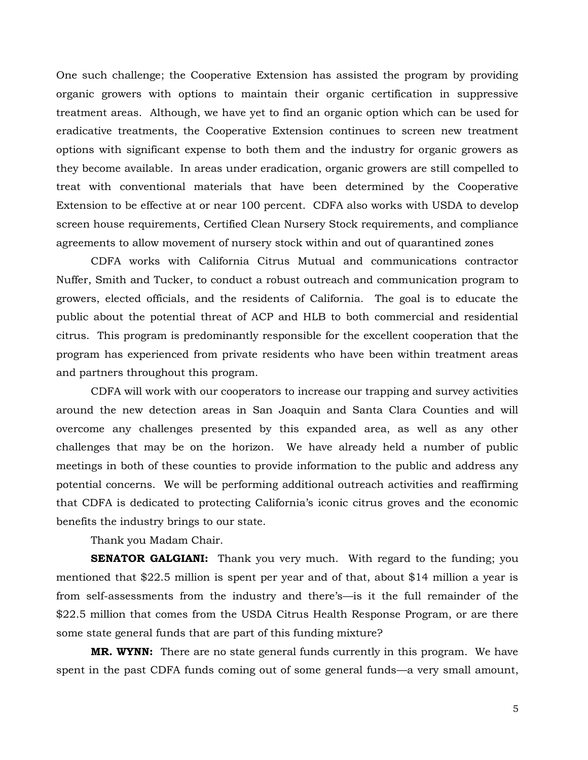One such challenge; the Cooperative Extension has assisted the program by providing organic growers with options to maintain their organic certification in suppressive treatment areas. Although, we have yet to find an organic option which can be used for eradicative treatments, the Cooperative Extension continues to screen new treatment options with significant expense to both them and the industry for organic growers as they become available. In areas under eradication, organic growers are still compelled to treat with conventional materials that have been determined by the Cooperative Extension to be effective at or near 100 percent. CDFA also works with USDA to develop screen house requirements, Certified Clean Nursery Stock requirements, and compliance agreements to allow movement of nursery stock within and out of quarantined zones

CDFA works with California Citrus Mutual and communications contractor Nuffer, Smith and Tucker, to conduct a robust outreach and communication program to growers, elected officials, and the residents of California. The goal is to educate the public about the potential threat of ACP and HLB to both commercial and residential citrus. This program is predominantly responsible for the excellent cooperation that the program has experienced from private residents who have been within treatment areas and partners throughout this program.

CDFA will work with our cooperators to increase our trapping and survey activities around the new detection areas in San Joaquin and Santa Clara Counties and will overcome any challenges presented by this expanded area, as well as any other challenges that may be on the horizon. We have already held a number of public meetings in both of these counties to provide information to the public and address any potential concerns. We will be performing additional outreach activities and reaffirming that CDFA is dedicated to protecting California's iconic citrus groves and the economic benefits the industry brings to our state.

Thank you Madam Chair.

**SENATOR GALGIANI:** Thank you very much. With regard to the funding; you mentioned that \$22.5 million is spent per year and of that, about \$14 million a year is from self-assessments from the industry and there's—is it the full remainder of the \$22.5 million that comes from the USDA Citrus Health Response Program, or are there some state general funds that are part of this funding mixture?

**MR. WYNN:** There are no state general funds currently in this program. We have spent in the past CDFA funds coming out of some general funds—a very small amount,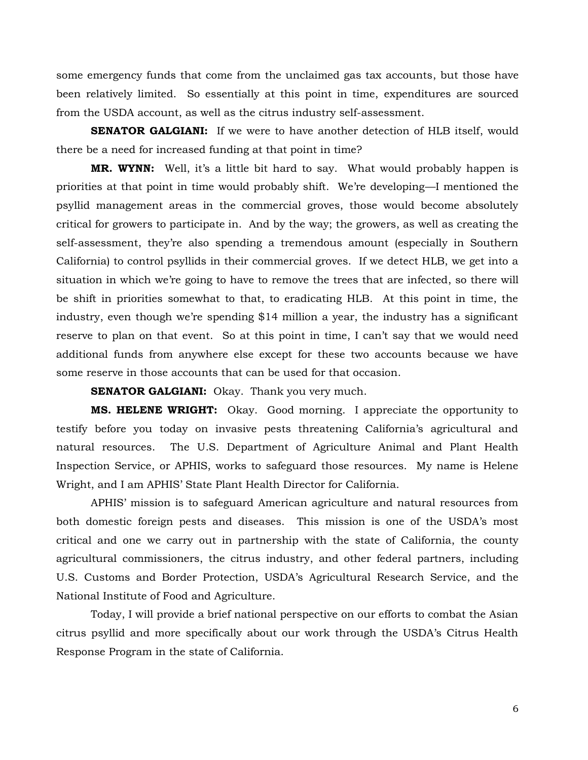some emergency funds that come from the unclaimed gas tax accounts, but those have been relatively limited. So essentially at this point in time, expenditures are sourced from the USDA account, as well as the citrus industry self-assessment.

**SENATOR GALGIANI:** If we were to have another detection of HLB itself, would there be a need for increased funding at that point in time?

**MR. WYNN:** Well, it's a little bit hard to say. What would probably happen is priorities at that point in time would probably shift. We're developing—I mentioned the psyllid management areas in the commercial groves, those would become absolutely critical for growers to participate in. And by the way; the growers, as well as creating the self-assessment, they're also spending a tremendous amount (especially in Southern California) to control psyllids in their commercial groves. If we detect HLB, we get into a situation in which we're going to have to remove the trees that are infected, so there will be shift in priorities somewhat to that, to eradicating HLB. At this point in time, the industry, even though we're spending \$14 million a year, the industry has a significant reserve to plan on that event. So at this point in time, I can't say that we would need additional funds from anywhere else except for these two accounts because we have some reserve in those accounts that can be used for that occasion.

**SENATOR GALGIANI:** Okay. Thank you very much.

**MS. HELENE WRIGHT:** Okay. Good morning. I appreciate the opportunity to testify before you today on invasive pests threatening California's agricultural and natural resources. The U.S. Department of Agriculture Animal and Plant Health Inspection Service, or APHIS, works to safeguard those resources. My name is Helene Wright, and I am APHIS' State Plant Health Director for California.

APHIS' mission is to safeguard American agriculture and natural resources from both domestic foreign pests and diseases. This mission is one of the USDA's most critical and one we carry out in partnership with the state of California, the county agricultural commissioners, the citrus industry, and other federal partners, including U.S. Customs and Border Protection, USDA's Agricultural Research Service, and the National Institute of Food and Agriculture.

Today, I will provide a brief national perspective on our efforts to combat the Asian citrus psyllid and more specifically about our work through the USDA's Citrus Health Response Program in the state of California.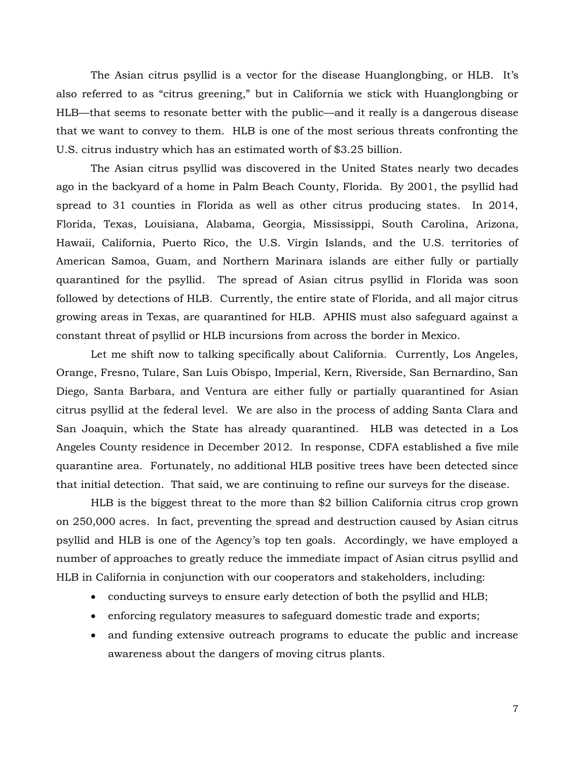The Asian citrus psyllid is a vector for the disease Huanglongbing, or HLB. It's also referred to as "citrus greening," but in California we stick with Huanglongbing or HLB—that seems to resonate better with the public—and it really is a dangerous disease that we want to convey to them. HLB is one of the most serious threats confronting the U.S. citrus industry which has an estimated worth of \$3.25 billion.

The Asian citrus psyllid was discovered in the United States nearly two decades ago in the backyard of a home in Palm Beach County, Florida. By 2001, the psyllid had spread to 31 counties in Florida as well as other citrus producing states. In 2014, Florida, Texas, Louisiana, Alabama, Georgia, Mississippi, South Carolina, Arizona, Hawaii, California, Puerto Rico, the U.S. Virgin Islands, and the U.S. territories of American Samoa, Guam, and Northern Marinara islands are either fully or partially quarantined for the psyllid. The spread of Asian citrus psyllid in Florida was soon followed by detections of HLB. Currently, the entire state of Florida, and all major citrus growing areas in Texas, are quarantined for HLB. APHIS must also safeguard against a constant threat of psyllid or HLB incursions from across the border in Mexico.

Let me shift now to talking specifically about California. Currently, Los Angeles, Orange, Fresno, Tulare, San Luis Obispo, Imperial, Kern, Riverside, San Bernardino, San Diego, Santa Barbara, and Ventura are either fully or partially quarantined for Asian citrus psyllid at the federal level. We are also in the process of adding Santa Clara and San Joaquin, which the State has already quarantined. HLB was detected in a Los Angeles County residence in December 2012. In response, CDFA established a five mile quarantine area. Fortunately, no additional HLB positive trees have been detected since that initial detection. That said, we are continuing to refine our surveys for the disease.

HLB is the biggest threat to the more than \$2 billion California citrus crop grown on 250,000 acres. In fact, preventing the spread and destruction caused by Asian citrus psyllid and HLB is one of the Agency's top ten goals. Accordingly, we have employed a number of approaches to greatly reduce the immediate impact of Asian citrus psyllid and HLB in California in conjunction with our cooperators and stakeholders, including:

- conducting surveys to ensure early detection of both the psyllid and HLB;
- enforcing regulatory measures to safeguard domestic trade and exports;
- and funding extensive outreach programs to educate the public and increase awareness about the dangers of moving citrus plants.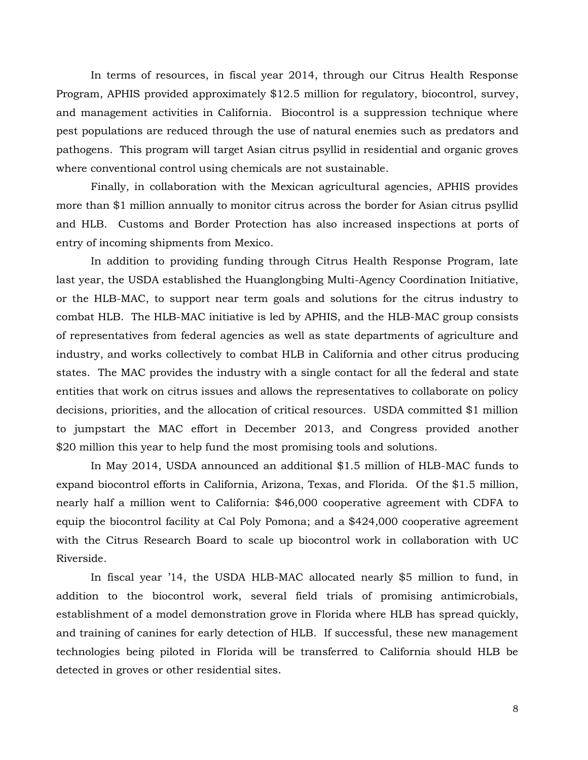In terms of resources, in fiscal year 2014, through our Citrus Health Response Program, APHIS provided approximately \$12.5 million for regulatory, biocontrol, survey, and management activities in California. Biocontrol is a suppression technique where pest populations are reduced through the use of natural enemies such as predators and pathogens. This program will target Asian citrus psyllid in residential and organic groves where conventional control using chemicals are not sustainable.

Finally, in collaboration with the Mexican agricultural agencies, APHIS provides more than \$1 million annually to monitor citrus across the border for Asian citrus psyllid and HLB. Customs and Border Protection has also increased inspections at ports of entry of incoming shipments from Mexico.

In addition to providing funding through Citrus Health Response Program, late last year, the USDA established the Huanglongbing Multi-Agency Coordination Initiative, or the HLB-MAC, to support near term goals and solutions for the citrus industry to combat HLB. The HLB-MAC initiative is led by APHIS, and the HLB-MAC group consists of representatives from federal agencies as well as state departments of agriculture and industry, and works collectively to combat HLB in California and other citrus producing states. The MAC provides the industry with a single contact for all the federal and state entities that work on citrus issues and allows the representatives to collaborate on policy decisions, priorities, and the allocation of critical resources. USDA committed \$1 million to jumpstart the MAC effort in December 2013, and Congress provided another \$20 million this year to help fund the most promising tools and solutions.

In May 2014, USDA announced an additional \$1.5 million of HLB-MAC funds to expand biocontrol efforts in California, Arizona, Texas, and Florida. Of the \$1.5 million, nearly half a million went to California: \$46,000 cooperative agreement with CDFA to equip the biocontrol facility at Cal Poly Pomona; and a \$424,000 cooperative agreement with the Citrus Research Board to scale up biocontrol work in collaboration with UC Riverside.

In fiscal year '14, the USDA HLB-MAC allocated nearly \$5 million to fund, in addition to the biocontrol work, several field trials of promising antimicrobials, establishment of a model demonstration grove in Florida where HLB has spread quickly, and training of canines for early detection of HLB. If successful, these new management technologies being piloted in Florida will be transferred to California should HLB be detected in groves or other residential sites.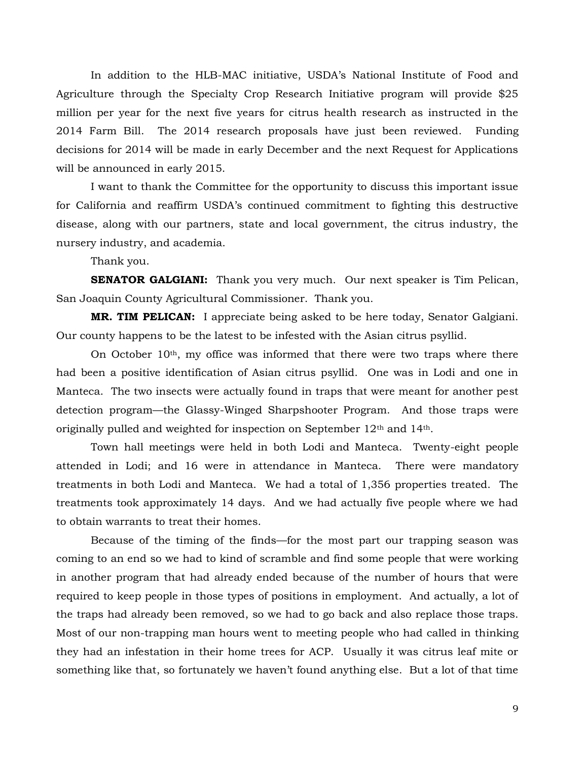In addition to the HLB-MAC initiative, USDA's National Institute of Food and Agriculture through the Specialty Crop Research Initiative program will provide \$25 million per year for the next five years for citrus health research as instructed in the 2014 Farm Bill. The 2014 research proposals have just been reviewed. Funding decisions for 2014 will be made in early December and the next Request for Applications will be announced in early 2015.

I want to thank the Committee for the opportunity to discuss this important issue for California and reaffirm USDA's continued commitment to fighting this destructive disease, along with our partners, state and local government, the citrus industry, the nursery industry, and academia.

Thank you.

**SENATOR GALGIANI:** Thank you very much. Our next speaker is Tim Pelican, San Joaquin County Agricultural Commissioner. Thank you.

**MR. TIM PELICAN:** I appreciate being asked to be here today, Senator Galgiani. Our county happens to be the latest to be infested with the Asian citrus psyllid.

On October  $10<sup>th</sup>$ , my office was informed that there were two traps where there had been a positive identification of Asian citrus psyllid. One was in Lodi and one in Manteca. The two insects were actually found in traps that were meant for another pest detection program—the Glassy-Winged Sharpshooter Program. And those traps were originally pulled and weighted for inspection on September  $12<sup>th</sup>$  and  $14<sup>th</sup>$ .

Town hall meetings were held in both Lodi and Manteca. Twenty-eight people attended in Lodi; and 16 were in attendance in Manteca. There were mandatory treatments in both Lodi and Manteca. We had a total of 1,356 properties treated. The treatments took approximately 14 days. And we had actually five people where we had to obtain warrants to treat their homes.

Because of the timing of the finds—for the most part our trapping season was coming to an end so we had to kind of scramble and find some people that were working in another program that had already ended because of the number of hours that were required to keep people in those types of positions in employment. And actually, a lot of the traps had already been removed, so we had to go back and also replace those traps. Most of our non-trapping man hours went to meeting people who had called in thinking they had an infestation in their home trees for ACP. Usually it was citrus leaf mite or something like that, so fortunately we haven't found anything else. But a lot of that time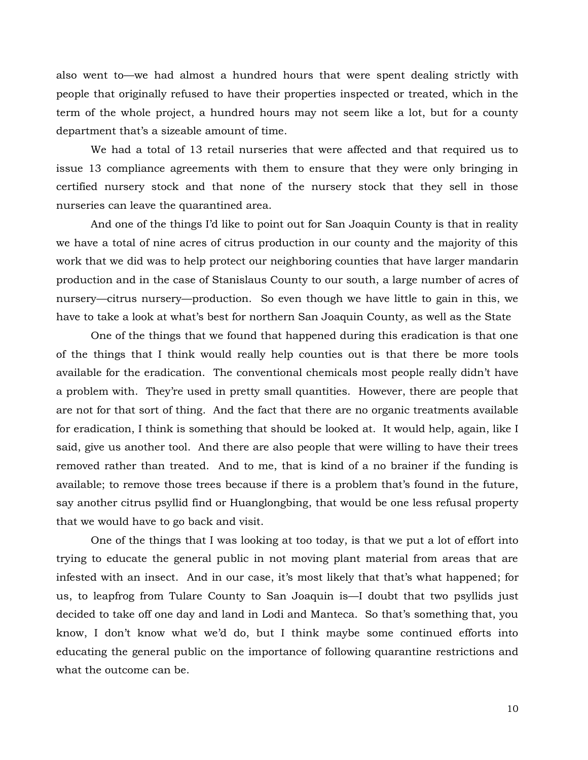also went to—we had almost a hundred hours that were spent dealing strictly with people that originally refused to have their properties inspected or treated, which in the term of the whole project, a hundred hours may not seem like a lot, but for a county department that's a sizeable amount of time.

We had a total of 13 retail nurseries that were affected and that required us to issue 13 compliance agreements with them to ensure that they were only bringing in certified nursery stock and that none of the nursery stock that they sell in those nurseries can leave the quarantined area.

And one of the things I'd like to point out for San Joaquin County is that in reality we have a total of nine acres of citrus production in our county and the majority of this work that we did was to help protect our neighboring counties that have larger mandarin production and in the case of Stanislaus County to our south, a large number of acres of nursery—citrus nursery—production. So even though we have little to gain in this, we have to take a look at what's best for northern San Joaquin County, as well as the State

One of the things that we found that happened during this eradication is that one of the things that I think would really help counties out is that there be more tools available for the eradication. The conventional chemicals most people really didn't have a problem with. They're used in pretty small quantities. However, there are people that are not for that sort of thing. And the fact that there are no organic treatments available for eradication, I think is something that should be looked at. It would help, again, like I said, give us another tool. And there are also people that were willing to have their trees removed rather than treated. And to me, that is kind of a no brainer if the funding is available; to remove those trees because if there is a problem that's found in the future, say another citrus psyllid find or Huanglongbing, that would be one less refusal property that we would have to go back and visit.

One of the things that I was looking at too today, is that we put a lot of effort into trying to educate the general public in not moving plant material from areas that are infested with an insect. And in our case, it's most likely that that's what happened; for us, to leapfrog from Tulare County to San Joaquin is—I doubt that two psyllids just decided to take off one day and land in Lodi and Manteca. So that's something that, you know, I don't know what we'd do, but I think maybe some continued efforts into educating the general public on the importance of following quarantine restrictions and what the outcome can be.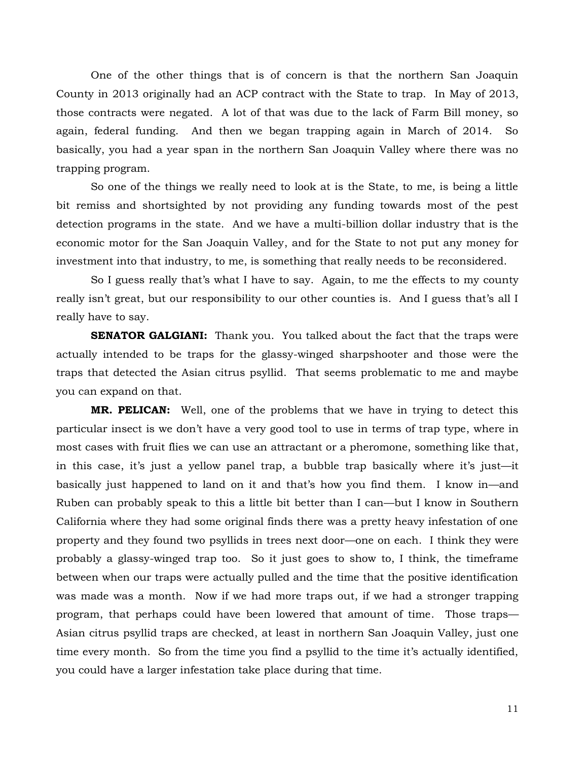One of the other things that is of concern is that the northern San Joaquin County in 2013 originally had an ACP contract with the State to trap. In May of 2013, those contracts were negated. A lot of that was due to the lack of Farm Bill money, so again, federal funding. And then we began trapping again in March of 2014. So basically, you had a year span in the northern San Joaquin Valley where there was no trapping program.

So one of the things we really need to look at is the State, to me, is being a little bit remiss and shortsighted by not providing any funding towards most of the pest detection programs in the state. And we have a multi-billion dollar industry that is the economic motor for the San Joaquin Valley, and for the State to not put any money for investment into that industry, to me, is something that really needs to be reconsidered.

So I guess really that's what I have to say. Again, to me the effects to my county really isn't great, but our responsibility to our other counties is. And I guess that's all I really have to say.

**SENATOR GALGIANI:** Thank you. You talked about the fact that the traps were actually intended to be traps for the glassy-winged sharpshooter and those were the traps that detected the Asian citrus psyllid. That seems problematic to me and maybe you can expand on that.

**MR. PELICAN:** Well, one of the problems that we have in trying to detect this particular insect is we don't have a very good tool to use in terms of trap type, where in most cases with fruit flies we can use an attractant or a pheromone, something like that, in this case, it's just a yellow panel trap, a bubble trap basically where it's just—it basically just happened to land on it and that's how you find them. I know in—and Ruben can probably speak to this a little bit better than I can—but I know in Southern California where they had some original finds there was a pretty heavy infestation of one property and they found two psyllids in trees next door—one on each. I think they were probably a glassy-winged trap too. So it just goes to show to, I think, the timeframe between when our traps were actually pulled and the time that the positive identification was made was a month. Now if we had more traps out, if we had a stronger trapping program, that perhaps could have been lowered that amount of time. Those traps— Asian citrus psyllid traps are checked, at least in northern San Joaquin Valley, just one time every month. So from the time you find a psyllid to the time it's actually identified, you could have a larger infestation take place during that time.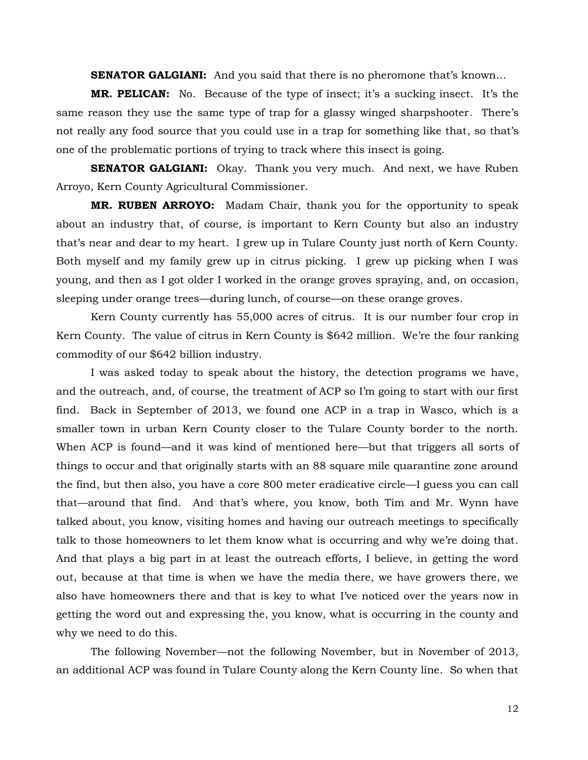**SENATOR GALGIANI:** And you said that there is no pheromone that's known...

**MR. PELICAN:** No. Because of the type of insect; it's a sucking insect. It's the same reason they use the same type of trap for a glassy winged sharpshooter. There's not really any food source that you could use in a trap for something like that, so that's one of the problematic portions of trying to track where this insect is going.

**SENATOR GALGIANI:** Okay. Thank you very much. And next, we have Ruben Arroyo, Kern County Agricultural Commissioner.

**MR. RUBEN ARROYO:** Madam Chair, thank you for the opportunity to speak about an industry that, of course, is important to Kern County but also an industry that's near and dear to my heart. I grew up in Tulare County just north of Kern County. Both myself and my family grew up in citrus picking. I grew up picking when I was young, and then as I got older I worked in the orange groves spraying, and, on occasion, sleeping under orange trees—during lunch, of course—on these orange groves.

Kern County currently has 55,000 acres of citrus. It is our number four crop in Kern County. The value of citrus in Kern County is \$642 million. We're the four ranking commodity of our \$642 billion industry.

I was asked today to speak about the history, the detection programs we have, and the outreach, and, of course, the treatment of ACP so I'm going to start with our first find. Back in September of 2013, we found one ACP in a trap in Wasco, which is a smaller town in urban Kern County closer to the Tulare County border to the north. When ACP is found—and it was kind of mentioned here—but that triggers all sorts of things to occur and that originally starts with an 88 square mile quarantine zone around the find, but then also, you have a core 800 meter eradicative circle—I guess you can call that—around that find. And that's where, you know, both Tim and Mr. Wynn have talked about, you know, visiting homes and having our outreach meetings to specifically talk to those homeowners to let them know what is occurring and why we're doing that. And that plays a big part in at least the outreach efforts, I believe, in getting the word out, because at that time is when we have the media there, we have growers there, we also have homeowners there and that is key to what I've noticed over the years now in getting the word out and expressing the, you know, what is occurring in the county and why we need to do this.

The following November—not the following November, but in November of 2013, an additional ACP was found in Tulare County along the Kern County line. So when that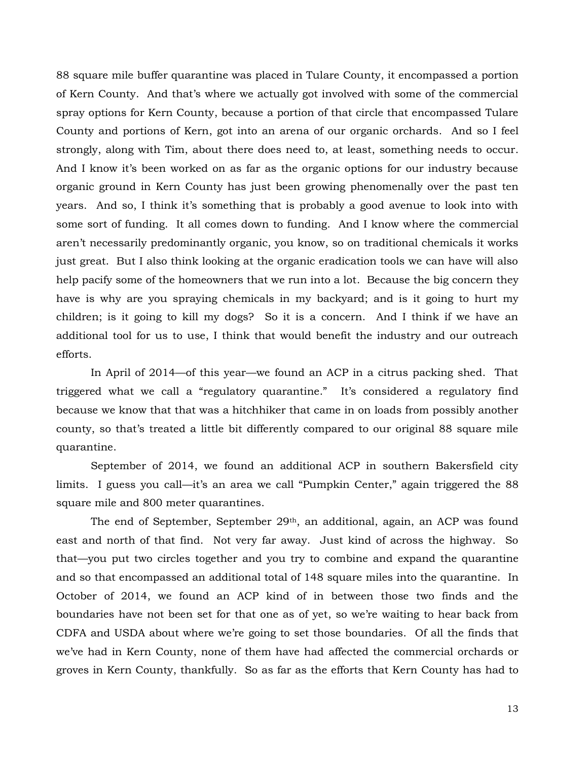88 square mile buffer quarantine was placed in Tulare County, it encompassed a portion of Kern County. And that's where we actually got involved with some of the commercial spray options for Kern County, because a portion of that circle that encompassed Tulare County and portions of Kern, got into an arena of our organic orchards. And so I feel strongly, along with Tim, about there does need to, at least, something needs to occur. And I know it's been worked on as far as the organic options for our industry because organic ground in Kern County has just been growing phenomenally over the past ten years. And so, I think it's something that is probably a good avenue to look into with some sort of funding. It all comes down to funding. And I know where the commercial aren't necessarily predominantly organic, you know, so on traditional chemicals it works just great. But I also think looking at the organic eradication tools we can have will also help pacify some of the homeowners that we run into a lot. Because the big concern they have is why are you spraying chemicals in my backyard; and is it going to hurt my children; is it going to kill my dogs? So it is a concern. And I think if we have an additional tool for us to use, I think that would benefit the industry and our outreach efforts.

In April of 2014—of this year—we found an ACP in a citrus packing shed. That triggered what we call a "regulatory quarantine." It's considered a regulatory find because we know that that was a hitchhiker that came in on loads from possibly another county, so that's treated a little bit differently compared to our original 88 square mile quarantine.

September of 2014, we found an additional ACP in southern Bakersfield city limits. I guess you call—it's an area we call "Pumpkin Center," again triggered the 88 square mile and 800 meter quarantines.

The end of September, September 29th, an additional, again, an ACP was found east and north of that find. Not very far away. Just kind of across the highway. So that—you put two circles together and you try to combine and expand the quarantine and so that encompassed an additional total of 148 square miles into the quarantine. In October of 2014, we found an ACP kind of in between those two finds and the boundaries have not been set for that one as of yet, so we're waiting to hear back from CDFA and USDA about where we're going to set those boundaries. Of all the finds that we've had in Kern County, none of them have had affected the commercial orchards or groves in Kern County, thankfully. So as far as the efforts that Kern County has had to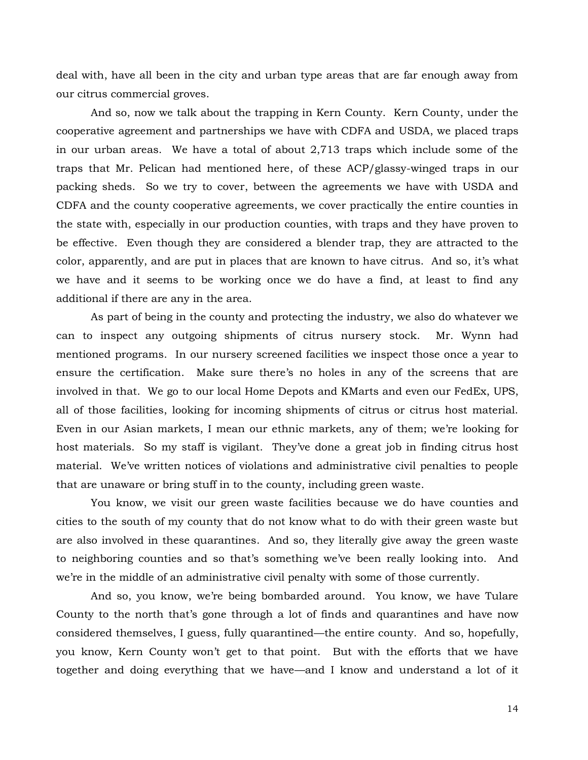deal with, have all been in the city and urban type areas that are far enough away from our citrus commercial groves.

And so, now we talk about the trapping in Kern County. Kern County, under the cooperative agreement and partnerships we have with CDFA and USDA, we placed traps in our urban areas. We have a total of about 2,713 traps which include some of the traps that Mr. Pelican had mentioned here, of these ACP/glassy-winged traps in our packing sheds. So we try to cover, between the agreements we have with USDA and CDFA and the county cooperative agreements, we cover practically the entire counties in the state with, especially in our production counties, with traps and they have proven to be effective. Even though they are considered a blender trap, they are attracted to the color, apparently, and are put in places that are known to have citrus. And so, it's what we have and it seems to be working once we do have a find, at least to find any additional if there are any in the area.

As part of being in the county and protecting the industry, we also do whatever we can to inspect any outgoing shipments of citrus nursery stock. Mr. Wynn had mentioned programs. In our nursery screened facilities we inspect those once a year to ensure the certification. Make sure there's no holes in any of the screens that are involved in that. We go to our local Home Depots and KMarts and even our FedEx, UPS, all of those facilities, looking for incoming shipments of citrus or citrus host material. Even in our Asian markets, I mean our ethnic markets, any of them; we're looking for host materials. So my staff is vigilant. They've done a great job in finding citrus host material. We've written notices of violations and administrative civil penalties to people that are unaware or bring stuff in to the county, including green waste.

You know, we visit our green waste facilities because we do have counties and cities to the south of my county that do not know what to do with their green waste but are also involved in these quarantines. And so, they literally give away the green waste to neighboring counties and so that's something we've been really looking into. And we're in the middle of an administrative civil penalty with some of those currently.

And so, you know, we're being bombarded around. You know, we have Tulare County to the north that's gone through a lot of finds and quarantines and have now considered themselves, I guess, fully quarantined—the entire county. And so, hopefully, you know, Kern County won't get to that point. But with the efforts that we have together and doing everything that we have—and I know and understand a lot of it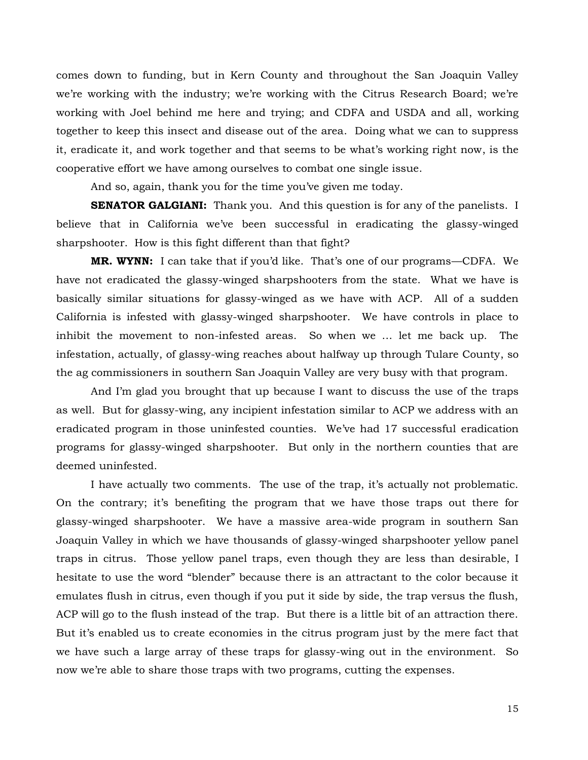comes down to funding, but in Kern County and throughout the San Joaquin Valley we're working with the industry; we're working with the Citrus Research Board; we're working with Joel behind me here and trying; and CDFA and USDA and all, working together to keep this insect and disease out of the area. Doing what we can to suppress it, eradicate it, and work together and that seems to be what's working right now, is the cooperative effort we have among ourselves to combat one single issue.

And so, again, thank you for the time you've given me today.

**SENATOR GALGIANI:** Thank you. And this question is for any of the panelists. I believe that in California we've been successful in eradicating the glassy-winged sharpshooter. How is this fight different than that fight?

**MR. WYNN:** I can take that if you'd like. That's one of our programs—CDFA. We have not eradicated the glassy-winged sharpshooters from the state. What we have is basically similar situations for glassy-winged as we have with ACP. All of a sudden California is infested with glassy-winged sharpshooter. We have controls in place to inhibit the movement to non-infested areas. So when we … let me back up. The infestation, actually, of glassy-wing reaches about halfway up through Tulare County, so the ag commissioners in southern San Joaquin Valley are very busy with that program.

And I'm glad you brought that up because I want to discuss the use of the traps as well. But for glassy-wing, any incipient infestation similar to ACP we address with an eradicated program in those uninfested counties. We've had 17 successful eradication programs for glassy-winged sharpshooter. But only in the northern counties that are deemed uninfested.

I have actually two comments. The use of the trap, it's actually not problematic. On the contrary; it's benefiting the program that we have those traps out there for glassy-winged sharpshooter. We have a massive area-wide program in southern San Joaquin Valley in which we have thousands of glassy-winged sharpshooter yellow panel traps in citrus. Those yellow panel traps, even though they are less than desirable, I hesitate to use the word "blender" because there is an attractant to the color because it emulates flush in citrus, even though if you put it side by side, the trap versus the flush, ACP will go to the flush instead of the trap. But there is a little bit of an attraction there. But it's enabled us to create economies in the citrus program just by the mere fact that we have such a large array of these traps for glassy-wing out in the environment. So now we're able to share those traps with two programs, cutting the expenses.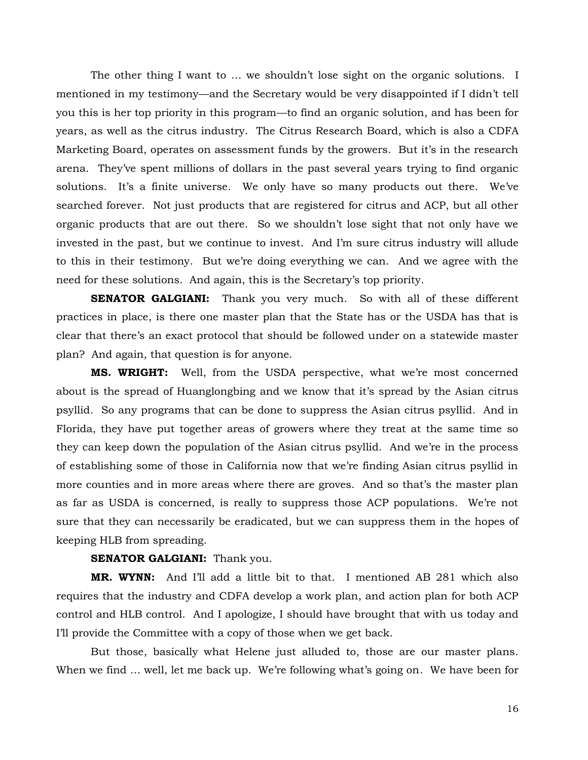The other thing I want to … we shouldn't lose sight on the organic solutions. I mentioned in my testimony—and the Secretary would be very disappointed if I didn't tell you this is her top priority in this program—to find an organic solution, and has been for years, as well as the citrus industry. The Citrus Research Board, which is also a CDFA Marketing Board, operates on assessment funds by the growers. But it's in the research arena. They've spent millions of dollars in the past several years trying to find organic solutions. It's a finite universe. We only have so many products out there. We've searched forever. Not just products that are registered for citrus and ACP, but all other organic products that are out there. So we shouldn't lose sight that not only have we invested in the past, but we continue to invest. And I'm sure citrus industry will allude to this in their testimony. But we're doing everything we can. And we agree with the need for these solutions. And again, this is the Secretary's top priority.

**SENATOR GALGIANI:** Thank you very much. So with all of these different practices in place, is there one master plan that the State has or the USDA has that is clear that there's an exact protocol that should be followed under on a statewide master plan? And again, that question is for anyone.

**MS. WRIGHT:** Well, from the USDA perspective, what we're most concerned about is the spread of Huanglongbing and we know that it's spread by the Asian citrus psyllid. So any programs that can be done to suppress the Asian citrus psyllid. And in Florida, they have put together areas of growers where they treat at the same time so they can keep down the population of the Asian citrus psyllid. And we're in the process of establishing some of those in California now that we're finding Asian citrus psyllid in more counties and in more areas where there are groves. And so that's the master plan as far as USDA is concerned, is really to suppress those ACP populations. We're not sure that they can necessarily be eradicated, but we can suppress them in the hopes of keeping HLB from spreading.

## **SENATOR GALGIANI:** Thank you.

**MR. WYNN:** And I'll add a little bit to that. I mentioned AB 281 which also requires that the industry and CDFA develop a work plan, and action plan for both ACP control and HLB control. And I apologize, I should have brought that with us today and I'll provide the Committee with a copy of those when we get back.

But those, basically what Helene just alluded to, those are our master plans. When we find ... well, let me back up. We're following what's going on. We have been for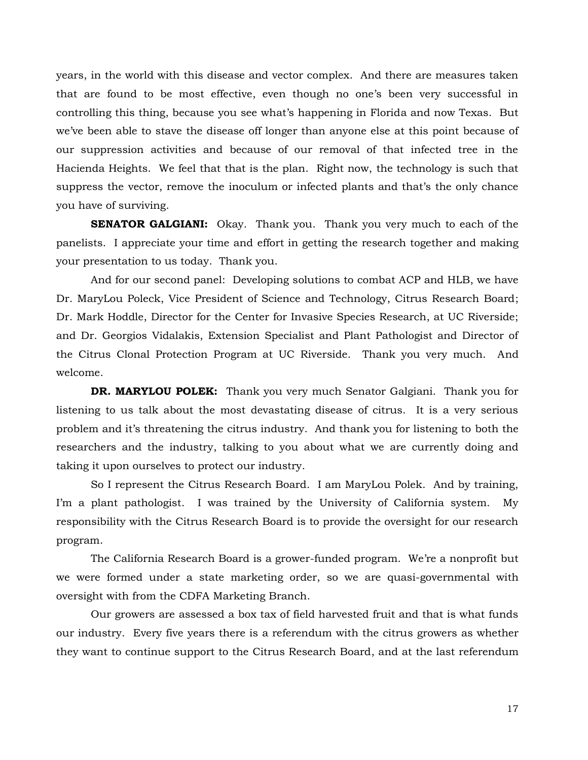years, in the world with this disease and vector complex. And there are measures taken that are found to be most effective, even though no one's been very successful in controlling this thing, because you see what's happening in Florida and now Texas. But we've been able to stave the disease off longer than anyone else at this point because of our suppression activities and because of our removal of that infected tree in the Hacienda Heights. We feel that that is the plan. Right now, the technology is such that suppress the vector, remove the inoculum or infected plants and that's the only chance you have of surviving.

**SENATOR GALGIANI:** Okay. Thank you. Thank you very much to each of the panelists. I appreciate your time and effort in getting the research together and making your presentation to us today. Thank you.

And for our second panel: Developing solutions to combat ACP and HLB, we have Dr. MaryLou Poleck, Vice President of Science and Technology, Citrus Research Board; Dr. Mark Hoddle, Director for the Center for Invasive Species Research, at UC Riverside; and Dr. Georgios Vidalakis, Extension Specialist and Plant Pathologist and Director of the Citrus Clonal Protection Program at UC Riverside. Thank you very much. And welcome.

**DR. MARYLOU POLEK:** Thank you very much Senator Galgiani. Thank you for listening to us talk about the most devastating disease of citrus. It is a very serious problem and it's threatening the citrus industry. And thank you for listening to both the researchers and the industry, talking to you about what we are currently doing and taking it upon ourselves to protect our industry.

So I represent the Citrus Research Board. I am MaryLou Polek. And by training, I'm a plant pathologist. I was trained by the University of California system. My responsibility with the Citrus Research Board is to provide the oversight for our research program.

The California Research Board is a grower-funded program. We're a nonprofit but we were formed under a state marketing order, so we are quasi-governmental with oversight with from the CDFA Marketing Branch.

Our growers are assessed a box tax of field harvested fruit and that is what funds our industry. Every five years there is a referendum with the citrus growers as whether they want to continue support to the Citrus Research Board, and at the last referendum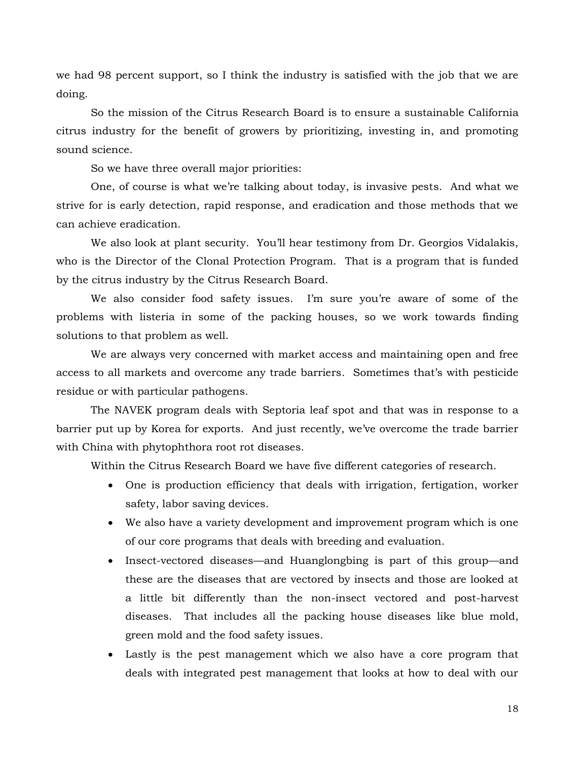we had 98 percent support, so I think the industry is satisfied with the job that we are doing.

So the mission of the Citrus Research Board is to ensure a sustainable California citrus industry for the benefit of growers by prioritizing, investing in, and promoting sound science.

So we have three overall major priorities:

One, of course is what we're talking about today, is invasive pests. And what we strive for is early detection, rapid response, and eradication and those methods that we can achieve eradication.

We also look at plant security. You'll hear testimony from Dr. Georgios Vidalakis, who is the Director of the Clonal Protection Program. That is a program that is funded by the citrus industry by the Citrus Research Board.

We also consider food safety issues. I'm sure you're aware of some of the problems with listeria in some of the packing houses, so we work towards finding solutions to that problem as well.

We are always very concerned with market access and maintaining open and free access to all markets and overcome any trade barriers. Sometimes that's with pesticide residue or with particular pathogens.

The NAVEK program deals with Septoria leaf spot and that was in response to a barrier put up by Korea for exports. And just recently, we've overcome the trade barrier with China with phytophthora root rot diseases.

Within the Citrus Research Board we have five different categories of research.

- One is production efficiency that deals with irrigation, fertigation, worker safety, labor saving devices.
- We also have a variety development and improvement program which is one of our core programs that deals with breeding and evaluation.
- Insect-vectored diseases—and Huanglongbing is part of this group—and these are the diseases that are vectored by insects and those are looked at a little bit differently than the non-insect vectored and post-harvest diseases. That includes all the packing house diseases like blue mold, green mold and the food safety issues.
- Lastly is the pest management which we also have a core program that deals with integrated pest management that looks at how to deal with our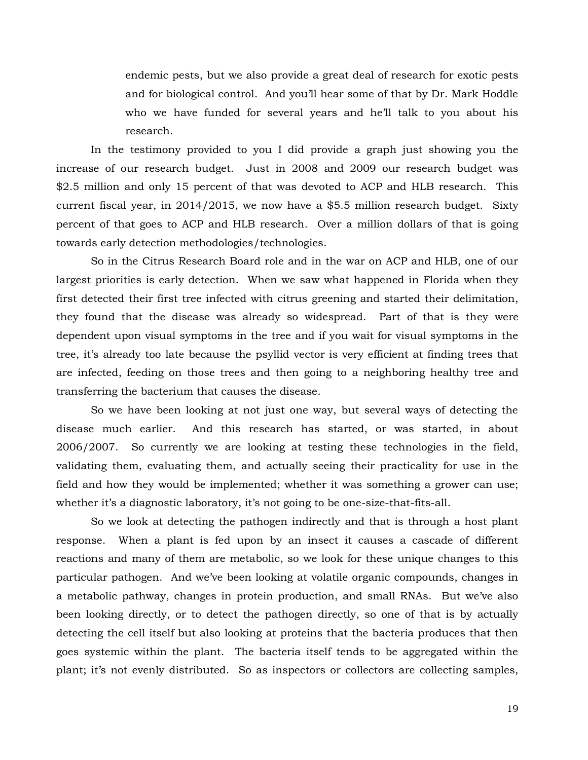endemic pests, but we also provide a great deal of research for exotic pests and for biological control. And you'll hear some of that by Dr. Mark Hoddle who we have funded for several years and he'll talk to you about his research.

In the testimony provided to you I did provide a graph just showing you the increase of our research budget. Just in 2008 and 2009 our research budget was \$2.5 million and only 15 percent of that was devoted to ACP and HLB research. This current fiscal year, in 2014/2015, we now have a \$5.5 million research budget. Sixty percent of that goes to ACP and HLB research. Over a million dollars of that is going towards early detection methodologies/technologies.

So in the Citrus Research Board role and in the war on ACP and HLB, one of our largest priorities is early detection. When we saw what happened in Florida when they first detected their first tree infected with citrus greening and started their delimitation, they found that the disease was already so widespread. Part of that is they were dependent upon visual symptoms in the tree and if you wait for visual symptoms in the tree, it's already too late because the psyllid vector is very efficient at finding trees that are infected, feeding on those trees and then going to a neighboring healthy tree and transferring the bacterium that causes the disease.

So we have been looking at not just one way, but several ways of detecting the disease much earlier. And this research has started, or was started, in about 2006/2007. So currently we are looking at testing these technologies in the field, validating them, evaluating them, and actually seeing their practicality for use in the field and how they would be implemented; whether it was something a grower can use; whether it's a diagnostic laboratory, it's not going to be one-size-that-fits-all.

So we look at detecting the pathogen indirectly and that is through a host plant response. When a plant is fed upon by an insect it causes a cascade of different reactions and many of them are metabolic, so we look for these unique changes to this particular pathogen. And we've been looking at volatile organic compounds, changes in a metabolic pathway, changes in protein production, and small RNAs. But we've also been looking directly, or to detect the pathogen directly, so one of that is by actually detecting the cell itself but also looking at proteins that the bacteria produces that then goes systemic within the plant. The bacteria itself tends to be aggregated within the plant; it's not evenly distributed. So as inspectors or collectors are collecting samples,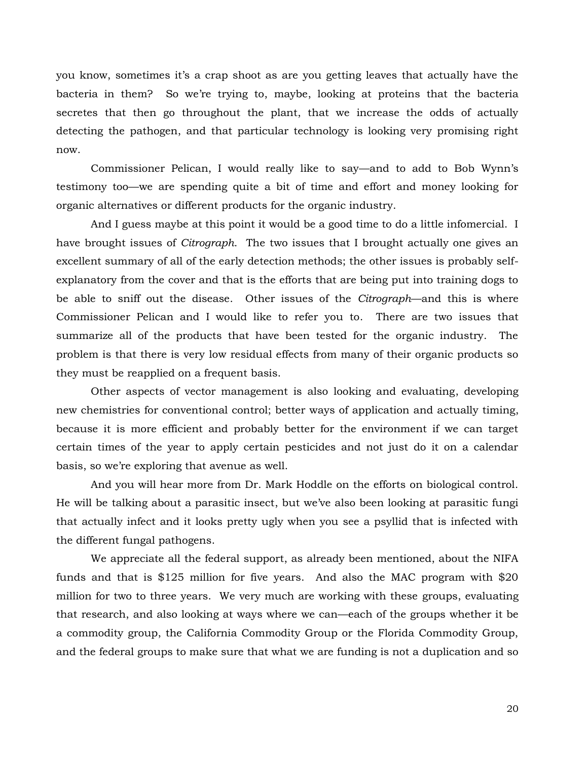you know, sometimes it's a crap shoot as are you getting leaves that actually have the bacteria in them? So we're trying to, maybe, looking at proteins that the bacteria secretes that then go throughout the plant, that we increase the odds of actually detecting the pathogen, and that particular technology is looking very promising right now.

Commissioner Pelican, I would really like to say—and to add to Bob Wynn's testimony too—we are spending quite a bit of time and effort and money looking for organic alternatives or different products for the organic industry.

And I guess maybe at this point it would be a good time to do a little infomercial. I have brought issues of *Citrograph*. The two issues that I brought actually one gives an excellent summary of all of the early detection methods; the other issues is probably selfexplanatory from the cover and that is the efforts that are being put into training dogs to be able to sniff out the disease. Other issues of the *Citrograph*—and this is where Commissioner Pelican and I would like to refer you to. There are two issues that summarize all of the products that have been tested for the organic industry. The problem is that there is very low residual effects from many of their organic products so they must be reapplied on a frequent basis.

Other aspects of vector management is also looking and evaluating, developing new chemistries for conventional control; better ways of application and actually timing, because it is more efficient and probably better for the environment if we can target certain times of the year to apply certain pesticides and not just do it on a calendar basis, so we're exploring that avenue as well.

And you will hear more from Dr. Mark Hoddle on the efforts on biological control. He will be talking about a parasitic insect, but we've also been looking at parasitic fungi that actually infect and it looks pretty ugly when you see a psyllid that is infected with the different fungal pathogens.

We appreciate all the federal support, as already been mentioned, about the NIFA funds and that is \$125 million for five years. And also the MAC program with \$20 million for two to three years. We very much are working with these groups, evaluating that research, and also looking at ways where we can—each of the groups whether it be a commodity group, the California Commodity Group or the Florida Commodity Group, and the federal groups to make sure that what we are funding is not a duplication and so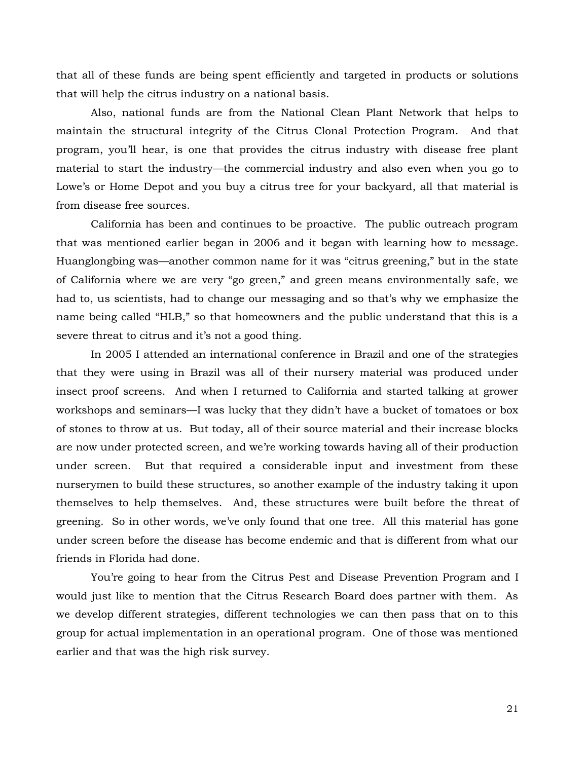that all of these funds are being spent efficiently and targeted in products or solutions that will help the citrus industry on a national basis.

Also, national funds are from the National Clean Plant Network that helps to maintain the structural integrity of the Citrus Clonal Protection Program. And that program, you'll hear, is one that provides the citrus industry with disease free plant material to start the industry—the commercial industry and also even when you go to Lowe's or Home Depot and you buy a citrus tree for your backyard, all that material is from disease free sources.

California has been and continues to be proactive. The public outreach program that was mentioned earlier began in 2006 and it began with learning how to message. Huanglongbing was—another common name for it was "citrus greening," but in the state of California where we are very "go green," and green means environmentally safe, we had to, us scientists, had to change our messaging and so that's why we emphasize the name being called "HLB," so that homeowners and the public understand that this is a severe threat to citrus and it's not a good thing.

In 2005 I attended an international conference in Brazil and one of the strategies that they were using in Brazil was all of their nursery material was produced under insect proof screens. And when I returned to California and started talking at grower workshops and seminars—I was lucky that they didn't have a bucket of tomatoes or box of stones to throw at us. But today, all of their source material and their increase blocks are now under protected screen, and we're working towards having all of their production under screen. But that required a considerable input and investment from these nurserymen to build these structures, so another example of the industry taking it upon themselves to help themselves. And, these structures were built before the threat of greening. So in other words, we've only found that one tree. All this material has gone under screen before the disease has become endemic and that is different from what our friends in Florida had done.

You're going to hear from the Citrus Pest and Disease Prevention Program and I would just like to mention that the Citrus Research Board does partner with them. As we develop different strategies, different technologies we can then pass that on to this group for actual implementation in an operational program. One of those was mentioned earlier and that was the high risk survey.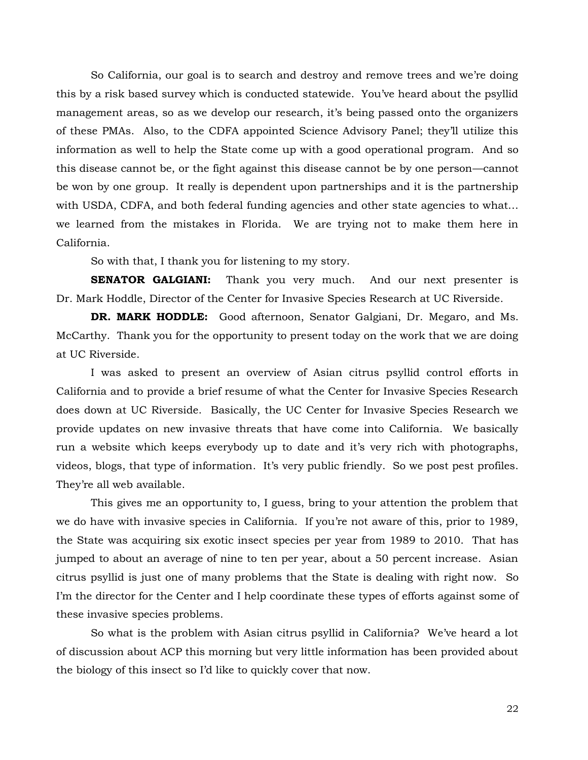So California, our goal is to search and destroy and remove trees and we're doing this by a risk based survey which is conducted statewide. You've heard about the psyllid management areas, so as we develop our research, it's being passed onto the organizers of these PMAs. Also, to the CDFA appointed Science Advisory Panel; they'll utilize this information as well to help the State come up with a good operational program. And so this disease cannot be, or the fight against this disease cannot be by one person—cannot be won by one group. It really is dependent upon partnerships and it is the partnership with USDA, CDFA, and both federal funding agencies and other state agencies to what... we learned from the mistakes in Florida. We are trying not to make them here in California.

So with that, I thank you for listening to my story.

**SENATOR GALGIANI:** Thank you very much. And our next presenter is Dr. Mark Hoddle, Director of the Center for Invasive Species Research at UC Riverside.

**DR. MARK HODDLE:** Good afternoon, Senator Galgiani, Dr. Megaro, and Ms. McCarthy. Thank you for the opportunity to present today on the work that we are doing at UC Riverside.

I was asked to present an overview of Asian citrus psyllid control efforts in California and to provide a brief resume of what the Center for Invasive Species Research does down at UC Riverside. Basically, the UC Center for Invasive Species Research we provide updates on new invasive threats that have come into California. We basically run a website which keeps everybody up to date and it's very rich with photographs, videos, blogs, that type of information. It's very public friendly. So we post pest profiles. They're all web available.

This gives me an opportunity to, I guess, bring to your attention the problem that we do have with invasive species in California. If you're not aware of this, prior to 1989, the State was acquiring six exotic insect species per year from 1989 to 2010. That has jumped to about an average of nine to ten per year, about a 50 percent increase. Asian citrus psyllid is just one of many problems that the State is dealing with right now. So I'm the director for the Center and I help coordinate these types of efforts against some of these invasive species problems.

So what is the problem with Asian citrus psyllid in California? We've heard a lot of discussion about ACP this morning but very little information has been provided about the biology of this insect so I'd like to quickly cover that now.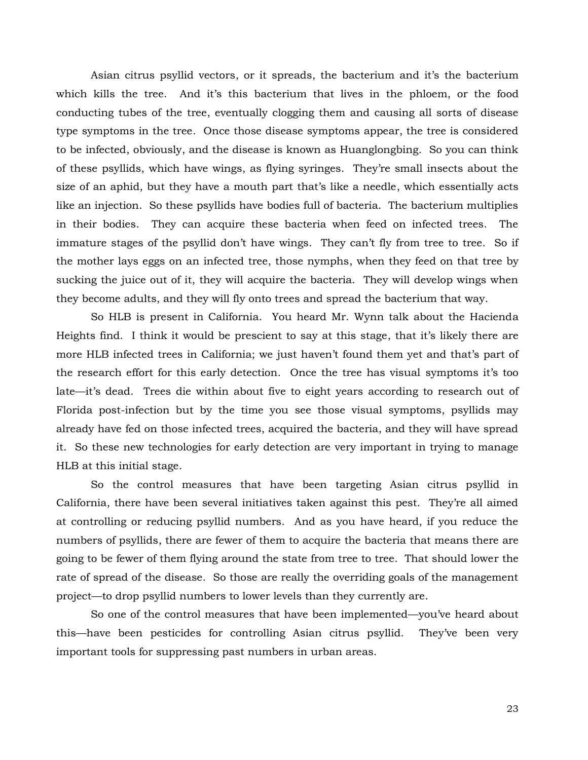Asian citrus psyllid vectors, or it spreads, the bacterium and it's the bacterium which kills the tree. And it's this bacterium that lives in the phloem, or the food conducting tubes of the tree, eventually clogging them and causing all sorts of disease type symptoms in the tree. Once those disease symptoms appear, the tree is considered to be infected, obviously, and the disease is known as Huanglongbing. So you can think of these psyllids, which have wings, as flying syringes. They're small insects about the size of an aphid, but they have a mouth part that's like a needle, which essentially acts like an injection. So these psyllids have bodies full of bacteria. The bacterium multiplies in their bodies. They can acquire these bacteria when feed on infected trees. The immature stages of the psyllid don't have wings. They can't fly from tree to tree. So if the mother lays eggs on an infected tree, those nymphs, when they feed on that tree by sucking the juice out of it, they will acquire the bacteria. They will develop wings when they become adults, and they will fly onto trees and spread the bacterium that way.

So HLB is present in California. You heard Mr. Wynn talk about the Hacienda Heights find. I think it would be prescient to say at this stage, that it's likely there are more HLB infected trees in California; we just haven't found them yet and that's part of the research effort for this early detection. Once the tree has visual symptoms it's too late—it's dead. Trees die within about five to eight years according to research out of Florida post-infection but by the time you see those visual symptoms, psyllids may already have fed on those infected trees, acquired the bacteria, and they will have spread it. So these new technologies for early detection are very important in trying to manage HLB at this initial stage.

So the control measures that have been targeting Asian citrus psyllid in California, there have been several initiatives taken against this pest. They're all aimed at controlling or reducing psyllid numbers. And as you have heard, if you reduce the numbers of psyllids, there are fewer of them to acquire the bacteria that means there are going to be fewer of them flying around the state from tree to tree. That should lower the rate of spread of the disease. So those are really the overriding goals of the management project—to drop psyllid numbers to lower levels than they currently are.

So one of the control measures that have been implemented—you've heard about this—have been pesticides for controlling Asian citrus psyllid. They've been very important tools for suppressing past numbers in urban areas.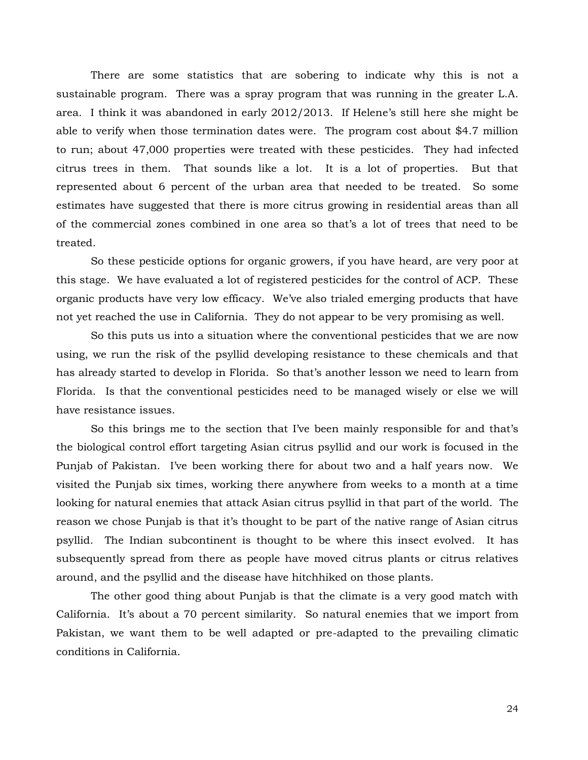There are some statistics that are sobering to indicate why this is not a sustainable program. There was a spray program that was running in the greater L.A. area. I think it was abandoned in early 2012/2013. If Helene's still here she might be able to verify when those termination dates were. The program cost about \$4.7 million to run; about 47,000 properties were treated with these pesticides. They had infected citrus trees in them. That sounds like a lot. It is a lot of properties. But that represented about 6 percent of the urban area that needed to be treated. So some estimates have suggested that there is more citrus growing in residential areas than all of the commercial zones combined in one area so that's a lot of trees that need to be treated.

So these pesticide options for organic growers, if you have heard, are very poor at this stage. We have evaluated a lot of registered pesticides for the control of ACP. These organic products have very low efficacy. We've also trialed emerging products that have not yet reached the use in California. They do not appear to be very promising as well.

So this puts us into a situation where the conventional pesticides that we are now using, we run the risk of the psyllid developing resistance to these chemicals and that has already started to develop in Florida. So that's another lesson we need to learn from Florida. Is that the conventional pesticides need to be managed wisely or else we will have resistance issues.

So this brings me to the section that I've been mainly responsible for and that's the biological control effort targeting Asian citrus psyllid and our work is focused in the Punjab of Pakistan. I've been working there for about two and a half years now. We visited the Punjab six times, working there anywhere from weeks to a month at a time looking for natural enemies that attack Asian citrus psyllid in that part of the world. The reason we chose Punjab is that it's thought to be part of the native range of Asian citrus psyllid. The Indian subcontinent is thought to be where this insect evolved. It has subsequently spread from there as people have moved citrus plants or citrus relatives around, and the psyllid and the disease have hitchhiked on those plants.

The other good thing about Punjab is that the climate is a very good match with California. It's about a 70 percent similarity. So natural enemies that we import from Pakistan, we want them to be well adapted or pre-adapted to the prevailing climatic conditions in California.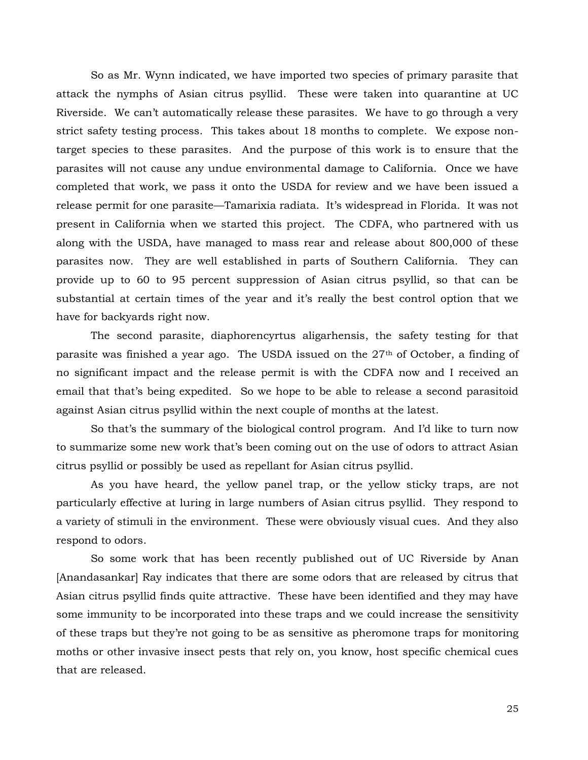So as Mr. Wynn indicated, we have imported two species of primary parasite that attack the nymphs of Asian citrus psyllid. These were taken into quarantine at UC Riverside. We can't automatically release these parasites. We have to go through a very strict safety testing process. This takes about 18 months to complete. We expose nontarget species to these parasites. And the purpose of this work is to ensure that the parasites will not cause any undue environmental damage to California. Once we have completed that work, we pass it onto the USDA for review and we have been issued a release permit for one parasite—Tamarixia radiata. It's widespread in Florida. It was not present in California when we started this project. The CDFA, who partnered with us along with the USDA, have managed to mass rear and release about 800,000 of these parasites now. They are well established in parts of Southern California. They can provide up to 60 to 95 percent suppression of Asian citrus psyllid, so that can be substantial at certain times of the year and it's really the best control option that we have for backyards right now.

The second parasite, diaphorencyrtus aligarhensis, the safety testing for that parasite was finished a year ago. The USDA issued on the 27<sup>th</sup> of October, a finding of no significant impact and the release permit is with the CDFA now and I received an email that that's being expedited. So we hope to be able to release a second parasitoid against Asian citrus psyllid within the next couple of months at the latest.

So that's the summary of the biological control program. And I'd like to turn now to summarize some new work that's been coming out on the use of odors to attract Asian citrus psyllid or possibly be used as repellant for Asian citrus psyllid.

As you have heard, the yellow panel trap, or the yellow sticky traps, are not particularly effective at luring in large numbers of Asian citrus psyllid. They respond to a variety of stimuli in the environment. These were obviously visual cues. And they also respond to odors.

So some work that has been recently published out of UC Riverside by Anan [Anandasankar] Ray indicates that there are some odors that are released by citrus that Asian citrus psyllid finds quite attractive. These have been identified and they may have some immunity to be incorporated into these traps and we could increase the sensitivity of these traps but they're not going to be as sensitive as pheromone traps for monitoring moths or other invasive insect pests that rely on, you know, host specific chemical cues that are released.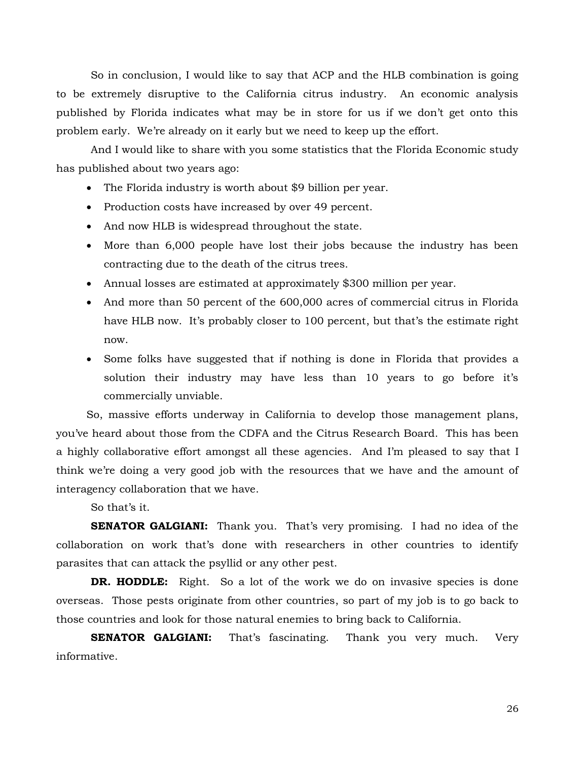So in conclusion, I would like to say that ACP and the HLB combination is going to be extremely disruptive to the California citrus industry. An economic analysis published by Florida indicates what may be in store for us if we don't get onto this problem early. We're already on it early but we need to keep up the effort.

And I would like to share with you some statistics that the Florida Economic study has published about two years ago:

- The Florida industry is worth about \$9 billion per year.
- Production costs have increased by over 49 percent.
- And now HLB is widespread throughout the state.
- More than 6,000 people have lost their jobs because the industry has been contracting due to the death of the citrus trees.
- Annual losses are estimated at approximately \$300 million per year.
- And more than 50 percent of the 600,000 acres of commercial citrus in Florida have HLB now. It's probably closer to 100 percent, but that's the estimate right now.
- Some folks have suggested that if nothing is done in Florida that provides a solution their industry may have less than 10 years to go before it's commercially unviable.

So, massive efforts underway in California to develop those management plans, you've heard about those from the CDFA and the Citrus Research Board. This has been a highly collaborative effort amongst all these agencies. And I'm pleased to say that I think we're doing a very good job with the resources that we have and the amount of interagency collaboration that we have.

So that's it.

**SENATOR GALGIANI:** Thank you. That's very promising. I had no idea of the collaboration on work that's done with researchers in other countries to identify parasites that can attack the psyllid or any other pest.

**DR. HODDLE:** Right. So a lot of the work we do on invasive species is done overseas. Those pests originate from other countries, so part of my job is to go back to those countries and look for those natural enemies to bring back to California.

**SENATOR GALGIANI:** That's fascinating. Thank you very much. Very informative.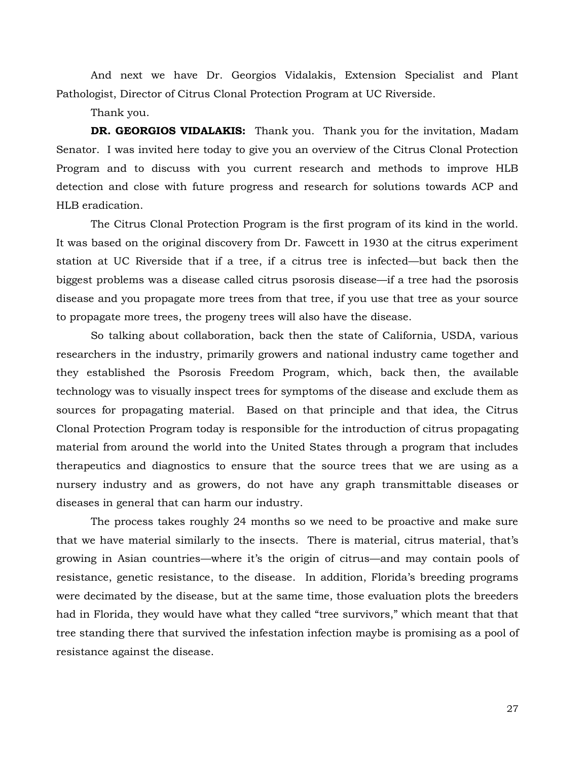And next we have Dr. Georgios Vidalakis, Extension Specialist and Plant Pathologist, Director of Citrus Clonal Protection Program at UC Riverside.

Thank you.

DR. GEORGIOS VIDALAKIS: Thank you. Thank you for the invitation, Madam Senator. I was invited here today to give you an overview of the Citrus Clonal Protection Program and to discuss with you current research and methods to improve HLB detection and close with future progress and research for solutions towards ACP and HLB eradication.

The Citrus Clonal Protection Program is the first program of its kind in the world. It was based on the original discovery from Dr. Fawcett in 1930 at the citrus experiment station at UC Riverside that if a tree, if a citrus tree is infected—but back then the biggest problems was a disease called citrus psorosis disease—if a tree had the psorosis disease and you propagate more trees from that tree, if you use that tree as your source to propagate more trees, the progeny trees will also have the disease.

So talking about collaboration, back then the state of California, USDA, various researchers in the industry, primarily growers and national industry came together and they established the Psorosis Freedom Program, which, back then, the available technology was to visually inspect trees for symptoms of the disease and exclude them as sources for propagating material. Based on that principle and that idea, the Citrus Clonal Protection Program today is responsible for the introduction of citrus propagating material from around the world into the United States through a program that includes therapeutics and diagnostics to ensure that the source trees that we are using as a nursery industry and as growers, do not have any graph transmittable diseases or diseases in general that can harm our industry.

The process takes roughly 24 months so we need to be proactive and make sure that we have material similarly to the insects. There is material, citrus material, that's growing in Asian countries—where it's the origin of citrus—and may contain pools of resistance, genetic resistance, to the disease. In addition, Florida's breeding programs were decimated by the disease, but at the same time, those evaluation plots the breeders had in Florida, they would have what they called "tree survivors," which meant that that tree standing there that survived the infestation infection maybe is promising as a pool of resistance against the disease.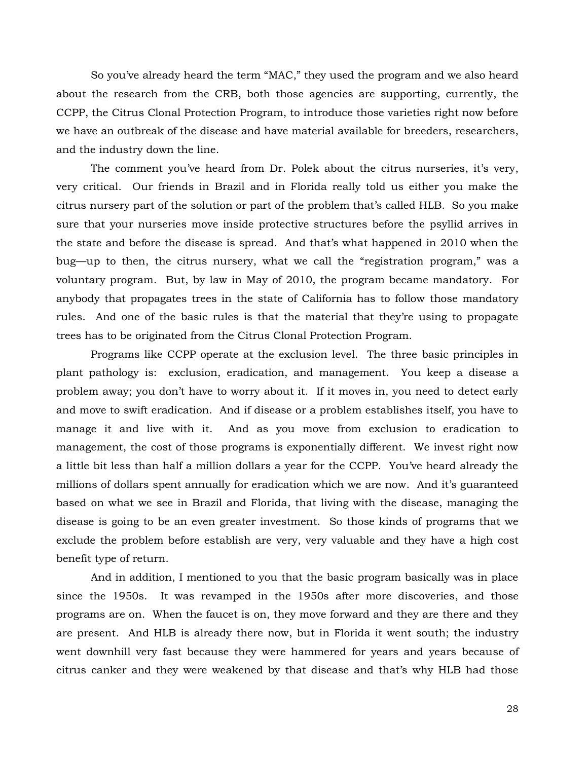So you've already heard the term "MAC," they used the program and we also heard about the research from the CRB, both those agencies are supporting, currently, the CCPP, the Citrus Clonal Protection Program, to introduce those varieties right now before we have an outbreak of the disease and have material available for breeders, researchers, and the industry down the line.

The comment you've heard from Dr. Polek about the citrus nurseries, it's very, very critical. Our friends in Brazil and in Florida really told us either you make the citrus nursery part of the solution or part of the problem that's called HLB. So you make sure that your nurseries move inside protective structures before the psyllid arrives in the state and before the disease is spread. And that's what happened in 2010 when the bug—up to then, the citrus nursery, what we call the "registration program," was a voluntary program. But, by law in May of 2010, the program became mandatory. For anybody that propagates trees in the state of California has to follow those mandatory rules. And one of the basic rules is that the material that they're using to propagate trees has to be originated from the Citrus Clonal Protection Program.

Programs like CCPP operate at the exclusion level. The three basic principles in plant pathology is: exclusion, eradication, and management. You keep a disease a problem away; you don't have to worry about it. If it moves in, you need to detect early and move to swift eradication. And if disease or a problem establishes itself, you have to manage it and live with it. And as you move from exclusion to eradication to management, the cost of those programs is exponentially different. We invest right now a little bit less than half a million dollars a year for the CCPP. You've heard already the millions of dollars spent annually for eradication which we are now. And it's guaranteed based on what we see in Brazil and Florida, that living with the disease, managing the disease is going to be an even greater investment. So those kinds of programs that we exclude the problem before establish are very, very valuable and they have a high cost benefit type of return.

And in addition, I mentioned to you that the basic program basically was in place since the 1950s. It was revamped in the 1950s after more discoveries, and those programs are on. When the faucet is on, they move forward and they are there and they are present. And HLB is already there now, but in Florida it went south; the industry went downhill very fast because they were hammered for years and years because of citrus canker and they were weakened by that disease and that's why HLB had those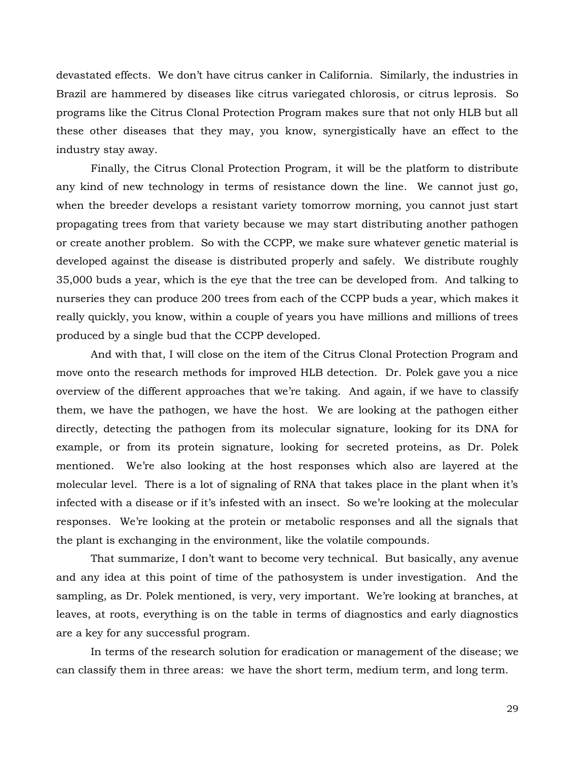devastated effects. We don't have citrus canker in California. Similarly, the industries in Brazil are hammered by diseases like citrus variegated chlorosis, or citrus leprosis. So programs like the Citrus Clonal Protection Program makes sure that not only HLB but all these other diseases that they may, you know, synergistically have an effect to the industry stay away.

Finally, the Citrus Clonal Protection Program, it will be the platform to distribute any kind of new technology in terms of resistance down the line. We cannot just go, when the breeder develops a resistant variety tomorrow morning, you cannot just start propagating trees from that variety because we may start distributing another pathogen or create another problem. So with the CCPP, we make sure whatever genetic material is developed against the disease is distributed properly and safely. We distribute roughly 35,000 buds a year, which is the eye that the tree can be developed from. And talking to nurseries they can produce 200 trees from each of the CCPP buds a year, which makes it really quickly, you know, within a couple of years you have millions and millions of trees produced by a single bud that the CCPP developed.

And with that, I will close on the item of the Citrus Clonal Protection Program and move onto the research methods for improved HLB detection. Dr. Polek gave you a nice overview of the different approaches that we're taking. And again, if we have to classify them, we have the pathogen, we have the host. We are looking at the pathogen either directly, detecting the pathogen from its molecular signature, looking for its DNA for example, or from its protein signature, looking for secreted proteins, as Dr. Polek mentioned. We're also looking at the host responses which also are layered at the molecular level. There is a lot of signaling of RNA that takes place in the plant when it's infected with a disease or if it's infested with an insect. So we're looking at the molecular responses. We're looking at the protein or metabolic responses and all the signals that the plant is exchanging in the environment, like the volatile compounds.

That summarize, I don't want to become very technical. But basically, any avenue and any idea at this point of time of the pathosystem is under investigation. And the sampling, as Dr. Polek mentioned, is very, very important. We're looking at branches, at leaves, at roots, everything is on the table in terms of diagnostics and early diagnostics are a key for any successful program.

In terms of the research solution for eradication or management of the disease; we can classify them in three areas: we have the short term, medium term, and long term.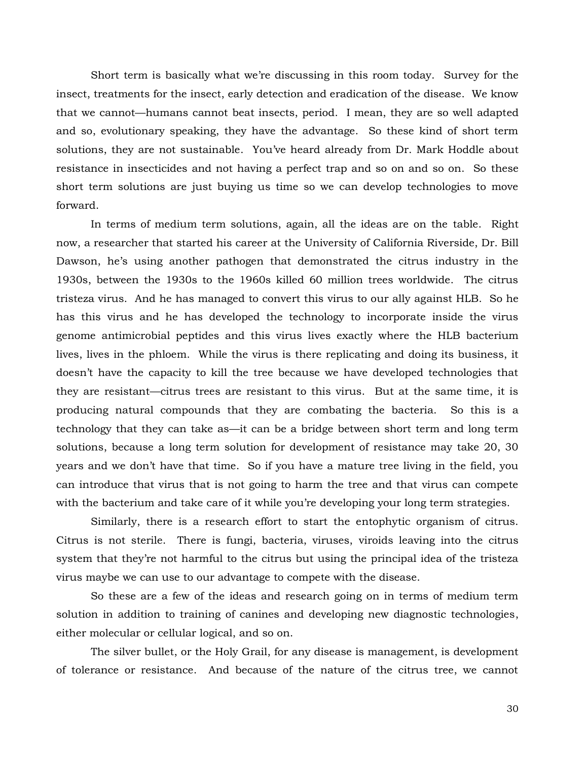Short term is basically what we're discussing in this room today. Survey for the insect, treatments for the insect, early detection and eradication of the disease. We know that we cannot—humans cannot beat insects, period. I mean, they are so well adapted and so, evolutionary speaking, they have the advantage. So these kind of short term solutions, they are not sustainable. You've heard already from Dr. Mark Hoddle about resistance in insecticides and not having a perfect trap and so on and so on. So these short term solutions are just buying us time so we can develop technologies to move forward.

In terms of medium term solutions, again, all the ideas are on the table. Right now, a researcher that started his career at the University of California Riverside, Dr. Bill Dawson, he's using another pathogen that demonstrated the citrus industry in the 1930s, between the 1930s to the 1960s killed 60 million trees worldwide. The citrus tristeza virus. And he has managed to convert this virus to our ally against HLB. So he has this virus and he has developed the technology to incorporate inside the virus genome antimicrobial peptides and this virus lives exactly where the HLB bacterium lives, lives in the phloem. While the virus is there replicating and doing its business, it doesn't have the capacity to kill the tree because we have developed technologies that they are resistant—citrus trees are resistant to this virus. But at the same time, it is producing natural compounds that they are combating the bacteria. So this is a technology that they can take as—it can be a bridge between short term and long term solutions, because a long term solution for development of resistance may take 20, 30 years and we don't have that time. So if you have a mature tree living in the field, you can introduce that virus that is not going to harm the tree and that virus can compete with the bacterium and take care of it while you're developing your long term strategies.

Similarly, there is a research effort to start the entophytic organism of citrus. Citrus is not sterile. There is fungi, bacteria, viruses, viroids leaving into the citrus system that they're not harmful to the citrus but using the principal idea of the tristeza virus maybe we can use to our advantage to compete with the disease.

So these are a few of the ideas and research going on in terms of medium term solution in addition to training of canines and developing new diagnostic technologies, either molecular or cellular logical, and so on.

The silver bullet, or the Holy Grail, for any disease is management, is development of tolerance or resistance. And because of the nature of the citrus tree, we cannot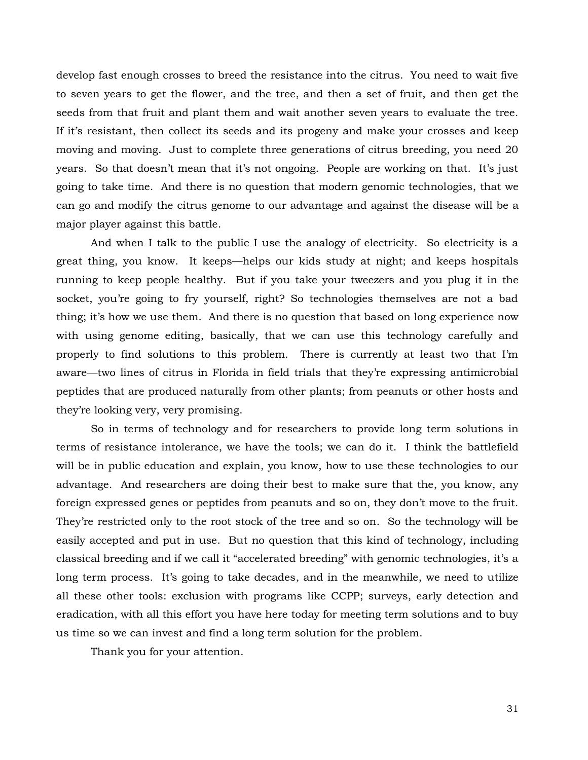develop fast enough crosses to breed the resistance into the citrus. You need to wait five to seven years to get the flower, and the tree, and then a set of fruit, and then get the seeds from that fruit and plant them and wait another seven years to evaluate the tree. If it's resistant, then collect its seeds and its progeny and make your crosses and keep moving and moving. Just to complete three generations of citrus breeding, you need 20 years. So that doesn't mean that it's not ongoing. People are working on that. It's just going to take time. And there is no question that modern genomic technologies, that we can go and modify the citrus genome to our advantage and against the disease will be a major player against this battle.

And when I talk to the public I use the analogy of electricity. So electricity is a great thing, you know. It keeps—helps our kids study at night; and keeps hospitals running to keep people healthy. But if you take your tweezers and you plug it in the socket, you're going to fry yourself, right? So technologies themselves are not a bad thing; it's how we use them. And there is no question that based on long experience now with using genome editing, basically, that we can use this technology carefully and properly to find solutions to this problem. There is currently at least two that I'm aware—two lines of citrus in Florida in field trials that they're expressing antimicrobial peptides that are produced naturally from other plants; from peanuts or other hosts and they're looking very, very promising.

So in terms of technology and for researchers to provide long term solutions in terms of resistance intolerance, we have the tools; we can do it. I think the battlefield will be in public education and explain, you know, how to use these technologies to our advantage. And researchers are doing their best to make sure that the, you know, any foreign expressed genes or peptides from peanuts and so on, they don't move to the fruit. They're restricted only to the root stock of the tree and so on. So the technology will be easily accepted and put in use. But no question that this kind of technology, including classical breeding and if we call it "accelerated breeding" with genomic technologies, it's a long term process. It's going to take decades, and in the meanwhile, we need to utilize all these other tools: exclusion with programs like CCPP; surveys, early detection and eradication, with all this effort you have here today for meeting term solutions and to buy us time so we can invest and find a long term solution for the problem.

Thank you for your attention.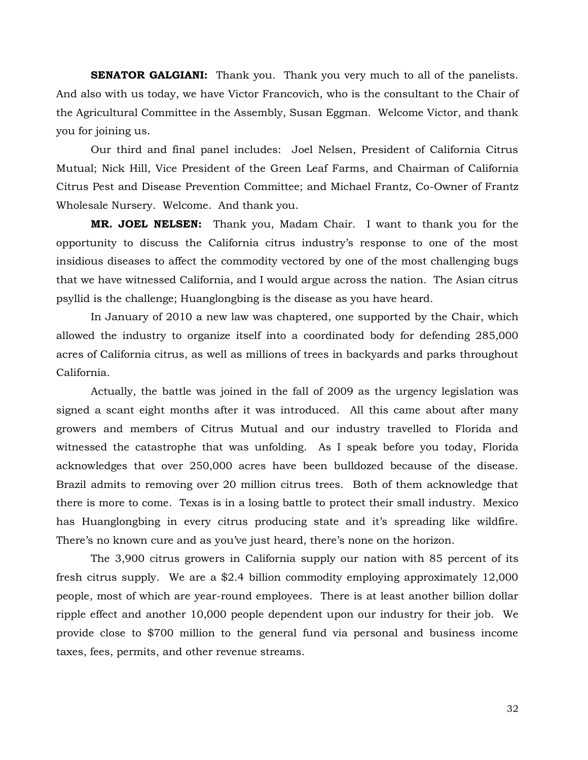**SENATOR GALGIANI:** Thank you. Thank you very much to all of the panelists. And also with us today, we have Victor Francovich, who is the consultant to the Chair of the Agricultural Committee in the Assembly, Susan Eggman. Welcome Victor, and thank you for joining us.

Our third and final panel includes: Joel Nelsen, President of California Citrus Mutual; Nick Hill, Vice President of the Green Leaf Farms, and Chairman of California Citrus Pest and Disease Prevention Committee; and Michael Frantz, Co-Owner of Frantz Wholesale Nursery. Welcome. And thank you.

**MR. JOEL NELSEN:** Thank you, Madam Chair. I want to thank you for the opportunity to discuss the California citrus industry's response to one of the most insidious diseases to affect the commodity vectored by one of the most challenging bugs that we have witnessed California, and I would argue across the nation. The Asian citrus psyllid is the challenge; Huanglongbing is the disease as you have heard.

In January of 2010 a new law was chaptered, one supported by the Chair, which allowed the industry to organize itself into a coordinated body for defending 285,000 acres of California citrus, as well as millions of trees in backyards and parks throughout California.

Actually, the battle was joined in the fall of 2009 as the urgency legislation was signed a scant eight months after it was introduced. All this came about after many growers and members of Citrus Mutual and our industry travelled to Florida and witnessed the catastrophe that was unfolding. As I speak before you today, Florida acknowledges that over 250,000 acres have been bulldozed because of the disease. Brazil admits to removing over 20 million citrus trees. Both of them acknowledge that there is more to come. Texas is in a losing battle to protect their small industry. Mexico has Huanglongbing in every citrus producing state and it's spreading like wildfire. There's no known cure and as you've just heard, there's none on the horizon.

The 3,900 citrus growers in California supply our nation with 85 percent of its fresh citrus supply. We are a \$2.4 billion commodity employing approximately 12,000 people, most of which are year-round employees. There is at least another billion dollar ripple effect and another 10,000 people dependent upon our industry for their job. We provide close to \$700 million to the general fund via personal and business income taxes, fees, permits, and other revenue streams.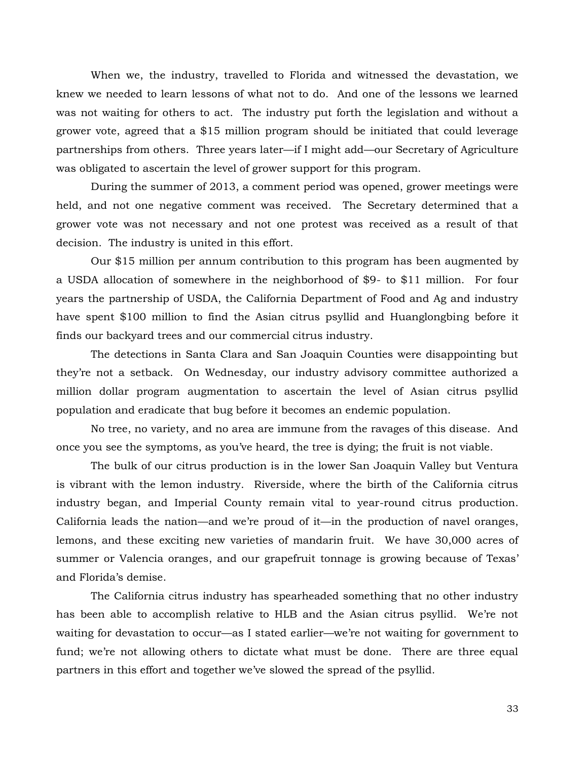When we, the industry, travelled to Florida and witnessed the devastation, we knew we needed to learn lessons of what not to do. And one of the lessons we learned was not waiting for others to act. The industry put forth the legislation and without a grower vote, agreed that a \$15 million program should be initiated that could leverage partnerships from others. Three years later—if I might add—our Secretary of Agriculture was obligated to ascertain the level of grower support for this program.

During the summer of 2013, a comment period was opened, grower meetings were held, and not one negative comment was received. The Secretary determined that a grower vote was not necessary and not one protest was received as a result of that decision. The industry is united in this effort.

Our \$15 million per annum contribution to this program has been augmented by a USDA allocation of somewhere in the neighborhood of \$9- to \$11 million. For four years the partnership of USDA, the California Department of Food and Ag and industry have spent \$100 million to find the Asian citrus psyllid and Huanglongbing before it finds our backyard trees and our commercial citrus industry.

The detections in Santa Clara and San Joaquin Counties were disappointing but they're not a setback. On Wednesday, our industry advisory committee authorized a million dollar program augmentation to ascertain the level of Asian citrus psyllid population and eradicate that bug before it becomes an endemic population.

No tree, no variety, and no area are immune from the ravages of this disease. And once you see the symptoms, as you've heard, the tree is dying; the fruit is not viable.

The bulk of our citrus production is in the lower San Joaquin Valley but Ventura is vibrant with the lemon industry. Riverside, where the birth of the California citrus industry began, and Imperial County remain vital to year-round citrus production. California leads the nation—and we're proud of it—in the production of navel oranges, lemons, and these exciting new varieties of mandarin fruit. We have 30,000 acres of summer or Valencia oranges, and our grapefruit tonnage is growing because of Texas' and Florida's demise.

The California citrus industry has spearheaded something that no other industry has been able to accomplish relative to HLB and the Asian citrus psyllid. We're not waiting for devastation to occur—as I stated earlier—we're not waiting for government to fund; we're not allowing others to dictate what must be done. There are three equal partners in this effort and together we've slowed the spread of the psyllid.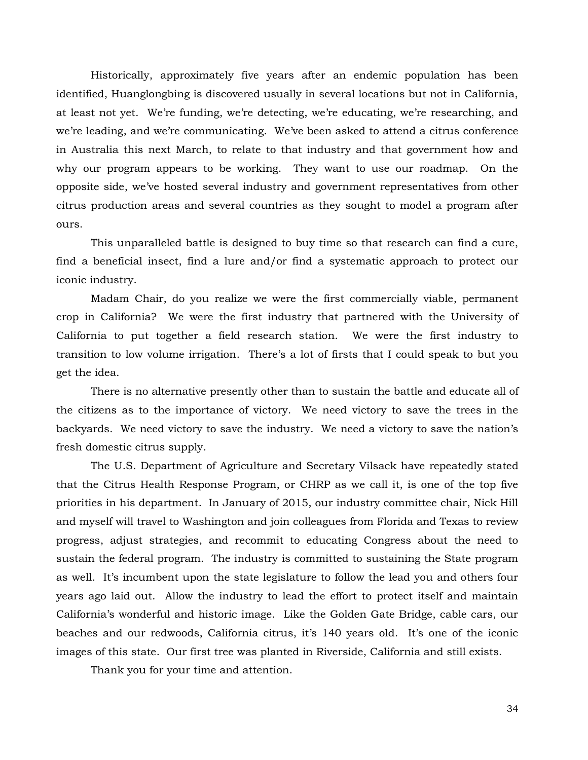Historically, approximately five years after an endemic population has been identified, Huanglongbing is discovered usually in several locations but not in California, at least not yet. We're funding, we're detecting, we're educating, we're researching, and we're leading, and we're communicating. We've been asked to attend a citrus conference in Australia this next March, to relate to that industry and that government how and why our program appears to be working. They want to use our roadmap. On the opposite side, we've hosted several industry and government representatives from other citrus production areas and several countries as they sought to model a program after ours.

This unparalleled battle is designed to buy time so that research can find a cure, find a beneficial insect, find a lure and/or find a systematic approach to protect our iconic industry.

Madam Chair, do you realize we were the first commercially viable, permanent crop in California? We were the first industry that partnered with the University of California to put together a field research station. We were the first industry to transition to low volume irrigation. There's a lot of firsts that I could speak to but you get the idea.

There is no alternative presently other than to sustain the battle and educate all of the citizens as to the importance of victory. We need victory to save the trees in the backyards. We need victory to save the industry. We need a victory to save the nation's fresh domestic citrus supply.

The U.S. Department of Agriculture and Secretary Vilsack have repeatedly stated that the Citrus Health Response Program, or CHRP as we call it, is one of the top five priorities in his department. In January of 2015, our industry committee chair, Nick Hill and myself will travel to Washington and join colleagues from Florida and Texas to review progress, adjust strategies, and recommit to educating Congress about the need to sustain the federal program. The industry is committed to sustaining the State program as well. It's incumbent upon the state legislature to follow the lead you and others four years ago laid out. Allow the industry to lead the effort to protect itself and maintain California's wonderful and historic image. Like the Golden Gate Bridge, cable cars, our beaches and our redwoods, California citrus, it's 140 years old. It's one of the iconic images of this state. Our first tree was planted in Riverside, California and still exists.

Thank you for your time and attention.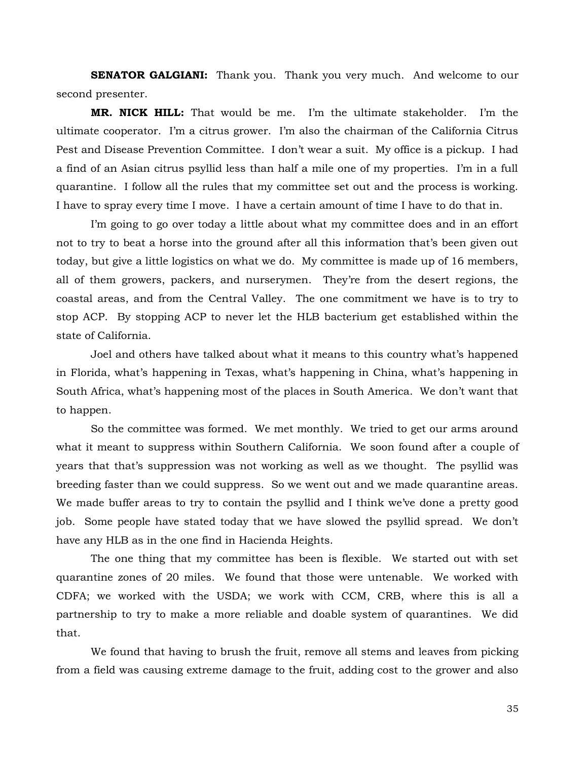**SENATOR GALGIANI:** Thank you. Thank you very much. And welcome to our second presenter.

**MR. NICK HILL:** That would be me. I'm the ultimate stakeholder. I'm the ultimate cooperator. I'm a citrus grower. I'm also the chairman of the California Citrus Pest and Disease Prevention Committee. I don't wear a suit. My office is a pickup. I had a find of an Asian citrus psyllid less than half a mile one of my properties. I'm in a full quarantine. I follow all the rules that my committee set out and the process is working. I have to spray every time I move. I have a certain amount of time I have to do that in.

I'm going to go over today a little about what my committee does and in an effort not to try to beat a horse into the ground after all this information that's been given out today, but give a little logistics on what we do. My committee is made up of 16 members, all of them growers, packers, and nurserymen. They're from the desert regions, the coastal areas, and from the Central Valley. The one commitment we have is to try to stop ACP. By stopping ACP to never let the HLB bacterium get established within the state of California.

Joel and others have talked about what it means to this country what's happened in Florida, what's happening in Texas, what's happening in China, what's happening in South Africa, what's happening most of the places in South America. We don't want that to happen.

So the committee was formed. We met monthly. We tried to get our arms around what it meant to suppress within Southern California. We soon found after a couple of years that that's suppression was not working as well as we thought. The psyllid was breeding faster than we could suppress. So we went out and we made quarantine areas. We made buffer areas to try to contain the psyllid and I think we've done a pretty good job. Some people have stated today that we have slowed the psyllid spread. We don't have any HLB as in the one find in Hacienda Heights.

The one thing that my committee has been is flexible. We started out with set quarantine zones of 20 miles. We found that those were untenable. We worked with CDFA; we worked with the USDA; we work with CCM, CRB, where this is all a partnership to try to make a more reliable and doable system of quarantines. We did that.

We found that having to brush the fruit, remove all stems and leaves from picking from a field was causing extreme damage to the fruit, adding cost to the grower and also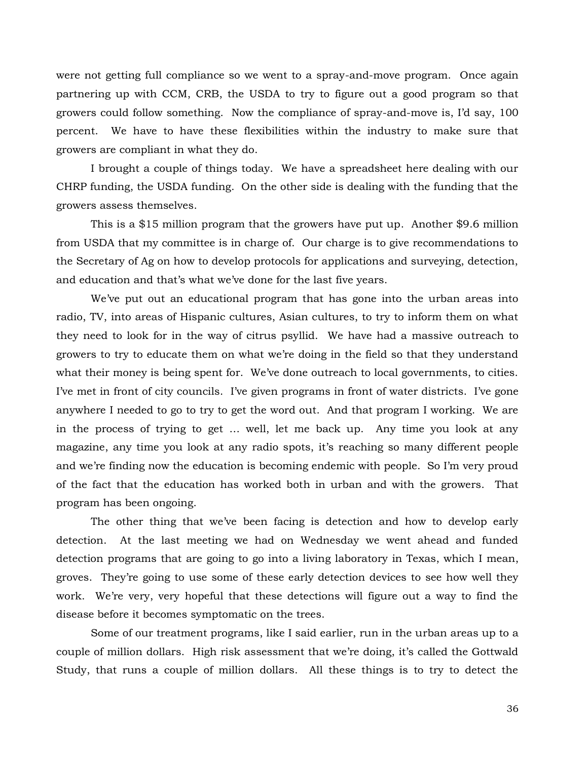were not getting full compliance so we went to a spray-and-move program. Once again partnering up with CCM, CRB, the USDA to try to figure out a good program so that growers could follow something. Now the compliance of spray-and-move is, I'd say, 100 percent. We have to have these flexibilities within the industry to make sure that growers are compliant in what they do.

I brought a couple of things today. We have a spreadsheet here dealing with our CHRP funding, the USDA funding. On the other side is dealing with the funding that the growers assess themselves.

This is a \$15 million program that the growers have put up. Another \$9.6 million from USDA that my committee is in charge of. Our charge is to give recommendations to the Secretary of Ag on how to develop protocols for applications and surveying, detection, and education and that's what we've done for the last five years.

We've put out an educational program that has gone into the urban areas into radio, TV, into areas of Hispanic cultures, Asian cultures, to try to inform them on what they need to look for in the way of citrus psyllid. We have had a massive outreach to growers to try to educate them on what we're doing in the field so that they understand what their money is being spent for. We've done outreach to local governments, to cities. I've met in front of city councils. I've given programs in front of water districts. I've gone anywhere I needed to go to try to get the word out. And that program I working. We are in the process of trying to get … well, let me back up. Any time you look at any magazine, any time you look at any radio spots, it's reaching so many different people and we're finding now the education is becoming endemic with people. So I'm very proud of the fact that the education has worked both in urban and with the growers. That program has been ongoing.

The other thing that we've been facing is detection and how to develop early detection. At the last meeting we had on Wednesday we went ahead and funded detection programs that are going to go into a living laboratory in Texas, which I mean, groves. They're going to use some of these early detection devices to see how well they work. We're very, very hopeful that these detections will figure out a way to find the disease before it becomes symptomatic on the trees.

Some of our treatment programs, like I said earlier, run in the urban areas up to a couple of million dollars. High risk assessment that we're doing, it's called the Gottwald Study, that runs a couple of million dollars. All these things is to try to detect the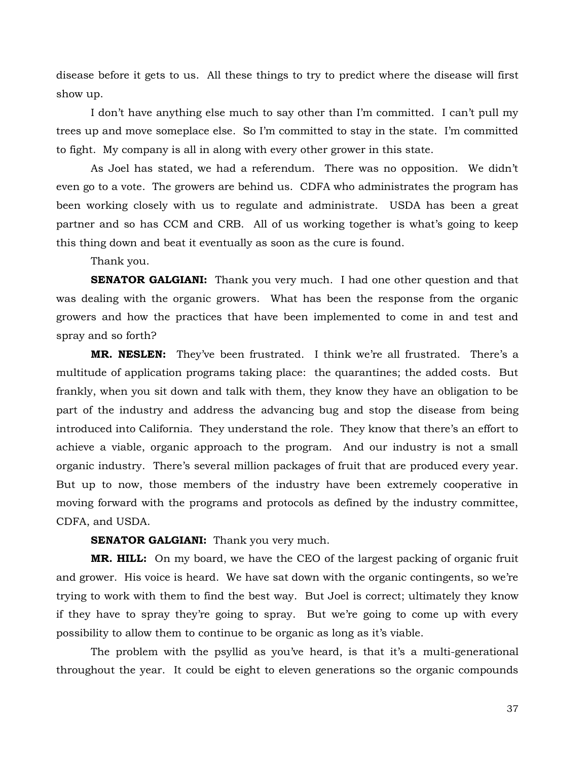disease before it gets to us. All these things to try to predict where the disease will first show up.

I don't have anything else much to say other than I'm committed. I can't pull my trees up and move someplace else. So I'm committed to stay in the state. I'm committed to fight. My company is all in along with every other grower in this state.

As Joel has stated, we had a referendum. There was no opposition. We didn't even go to a vote. The growers are behind us. CDFA who administrates the program has been working closely with us to regulate and administrate. USDA has been a great partner and so has CCM and CRB. All of us working together is what's going to keep this thing down and beat it eventually as soon as the cure is found.

Thank you.

**SENATOR GALGIANI:** Thank you very much. I had one other question and that was dealing with the organic growers. What has been the response from the organic growers and how the practices that have been implemented to come in and test and spray and so forth?

**MR. NESLEN:** They've been frustrated. I think we're all frustrated. There's a multitude of application programs taking place: the quarantines; the added costs. But frankly, when you sit down and talk with them, they know they have an obligation to be part of the industry and address the advancing bug and stop the disease from being introduced into California. They understand the role. They know that there's an effort to achieve a viable, organic approach to the program. And our industry is not a small organic industry. There's several million packages of fruit that are produced every year. But up to now, those members of the industry have been extremely cooperative in moving forward with the programs and protocols as defined by the industry committee, CDFA, and USDA.

**SENATOR GALGIANI:** Thank you very much.

**MR. HILL:** On my board, we have the CEO of the largest packing of organic fruit and grower. His voice is heard. We have sat down with the organic contingents, so we're trying to work with them to find the best way. But Joel is correct; ultimately they know if they have to spray they're going to spray. But we're going to come up with every possibility to allow them to continue to be organic as long as it's viable.

The problem with the psyllid as you've heard, is that it's a multi-generational throughout the year. It could be eight to eleven generations so the organic compounds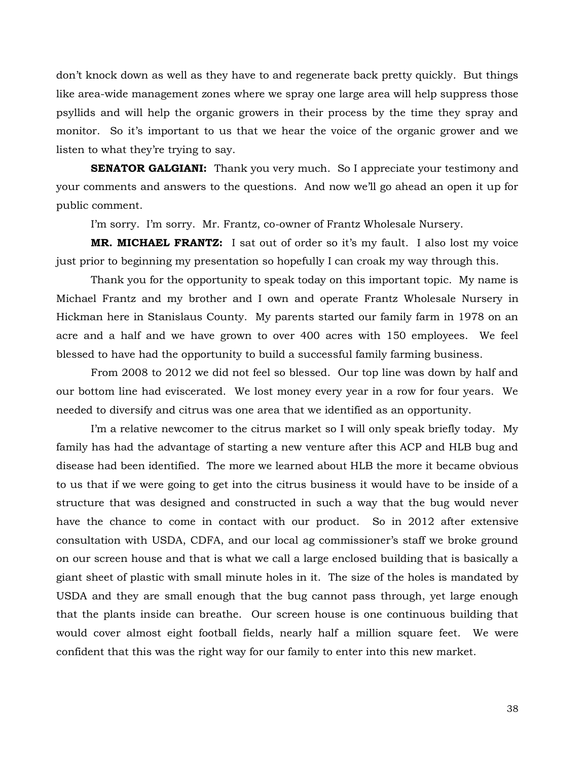don't knock down as well as they have to and regenerate back pretty quickly. But things like area-wide management zones where we spray one large area will help suppress those psyllids and will help the organic growers in their process by the time they spray and monitor. So it's important to us that we hear the voice of the organic grower and we listen to what they're trying to say.

**SENATOR GALGIANI:** Thank you very much. So I appreciate your testimony and your comments and answers to the questions. And now we'll go ahead an open it up for public comment.

I'm sorry. I'm sorry. Mr. Frantz, co-owner of Frantz Wholesale Nursery.

**MR. MICHAEL FRANTZ:** I sat out of order so it's my fault. I also lost my voice just prior to beginning my presentation so hopefully I can croak my way through this.

Thank you for the opportunity to speak today on this important topic. My name is Michael Frantz and my brother and I own and operate Frantz Wholesale Nursery in Hickman here in Stanislaus County. My parents started our family farm in 1978 on an acre and a half and we have grown to over 400 acres with 150 employees. We feel blessed to have had the opportunity to build a successful family farming business.

From 2008 to 2012 we did not feel so blessed. Our top line was down by half and our bottom line had eviscerated. We lost money every year in a row for four years. We needed to diversify and citrus was one area that we identified as an opportunity.

I'm a relative newcomer to the citrus market so I will only speak briefly today. My family has had the advantage of starting a new venture after this ACP and HLB bug and disease had been identified. The more we learned about HLB the more it became obvious to us that if we were going to get into the citrus business it would have to be inside of a structure that was designed and constructed in such a way that the bug would never have the chance to come in contact with our product. So in 2012 after extensive consultation with USDA, CDFA, and our local ag commissioner's staff we broke ground on our screen house and that is what we call a large enclosed building that is basically a giant sheet of plastic with small minute holes in it. The size of the holes is mandated by USDA and they are small enough that the bug cannot pass through, yet large enough that the plants inside can breathe. Our screen house is one continuous building that would cover almost eight football fields, nearly half a million square feet. We were confident that this was the right way for our family to enter into this new market.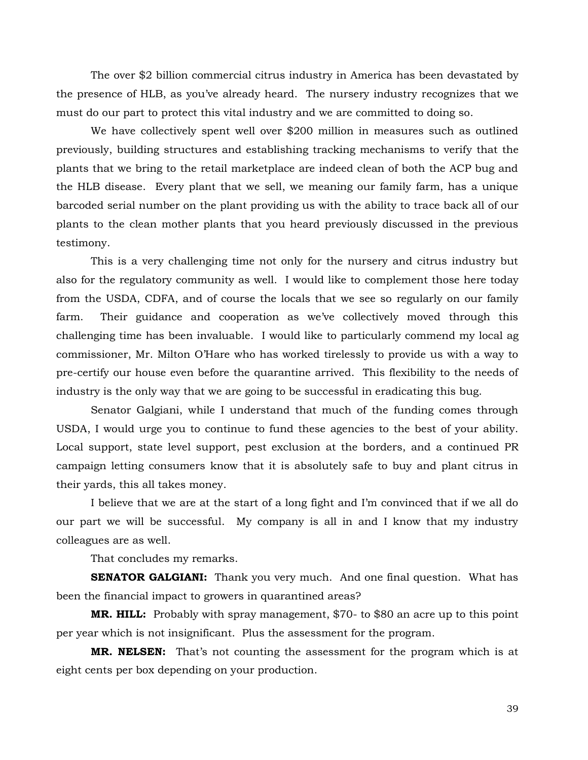The over \$2 billion commercial citrus industry in America has been devastated by the presence of HLB, as you've already heard. The nursery industry recognizes that we must do our part to protect this vital industry and we are committed to doing so.

We have collectively spent well over \$200 million in measures such as outlined previously, building structures and establishing tracking mechanisms to verify that the plants that we bring to the retail marketplace are indeed clean of both the ACP bug and the HLB disease. Every plant that we sell, we meaning our family farm, has a unique barcoded serial number on the plant providing us with the ability to trace back all of our plants to the clean mother plants that you heard previously discussed in the previous testimony.

This is a very challenging time not only for the nursery and citrus industry but also for the regulatory community as well. I would like to complement those here today from the USDA, CDFA, and of course the locals that we see so regularly on our family farm. Their guidance and cooperation as we've collectively moved through this challenging time has been invaluable. I would like to particularly commend my local ag commissioner, Mr. Milton O'Hare who has worked tirelessly to provide us with a way to pre-certify our house even before the quarantine arrived. This flexibility to the needs of industry is the only way that we are going to be successful in eradicating this bug.

Senator Galgiani, while I understand that much of the funding comes through USDA, I would urge you to continue to fund these agencies to the best of your ability. Local support, state level support, pest exclusion at the borders, and a continued PR campaign letting consumers know that it is absolutely safe to buy and plant citrus in their yards, this all takes money.

I believe that we are at the start of a long fight and I'm convinced that if we all do our part we will be successful. My company is all in and I know that my industry colleagues are as well.

That concludes my remarks.

**SENATOR GALGIANI:** Thank you very much. And one final question. What has been the financial impact to growers in quarantined areas?

**MR. HILL:** Probably with spray management, \$70- to \$80 an acre up to this point per year which is not insignificant. Plus the assessment for the program.

**MR. NELSEN:** That's not counting the assessment for the program which is at eight cents per box depending on your production.